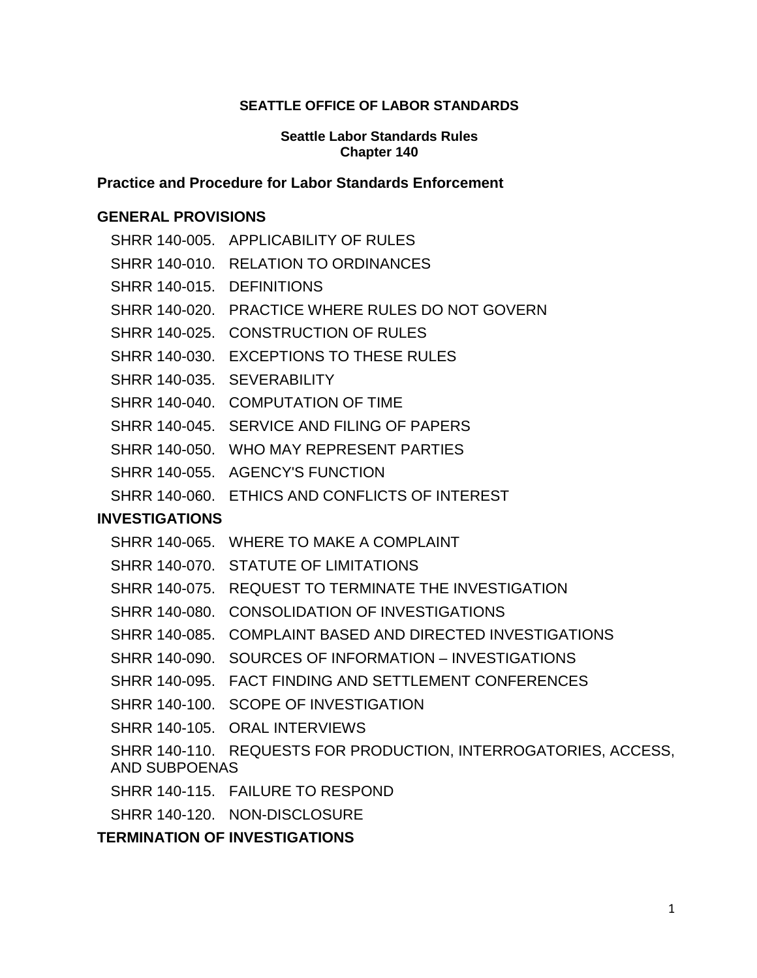#### **SEATTLE OFFICE OF LABOR STANDARDS**

#### **Seattle Labor Standards Rules Chapter 140**

#### **Practice and Procedure for Labor Standards Enforcement**

#### **[GENERAL PROVISIONS](#page-2-0)**

|                           | SHRR 140-005. APPLICABILITY OF RULES                            |
|---------------------------|-----------------------------------------------------------------|
|                           | SHRR 140-010. RELATION TO ORDINANCES                            |
| SHRR 140-015. DEFINITIONS |                                                                 |
|                           | SHRR 140-020. PRACTICE WHERE RULES DO NOT GOVERN                |
|                           | SHRR 140-025. CONSTRUCTION OF RULES                             |
|                           | SHRR 140-030. EXCEPTIONS TO THESE RULES                         |
|                           | SHRR 140-035. SEVERABILITY                                      |
|                           | SHRR 140-040. COMPUTATION OF TIME                               |
|                           | SHRR 140-045. SERVICE AND FILING OF PAPERS                      |
|                           | SHRR 140-050. WHO MAY REPRESENT PARTIES                         |
|                           | SHRR 140-055. AGENCY'S FUNCTION                                 |
|                           | SHRR 140-060. ETHICS AND CONFLICTS OF INTEREST                  |
| <b>INVESTIGATIONS</b>     |                                                                 |
|                           | SHRR 140-065. WHERE TO MAKE A COMPLAINT                         |
|                           | SHRR 140-070. STATUTE OF LIMITATIONS                            |
|                           | SHRR 140-075. REQUEST TO TERMINATE THE INVESTIGATION            |
|                           | SHRR 140-080. CONSOLIDATION OF INVESTIGATIONS                   |
|                           | SHRR 140-085. COMPLAINT BASED AND DIRECTED INVESTIGATIONS       |
|                           | SHRR 140-090. SOURCES OF INFORMATION - INVESTIGATIONS           |
|                           | SHRR 140-095. FACT FINDING AND SETTLEMENT CONFERENCES           |
|                           | SHRR 140-100. SCOPE OF INVESTIGATION                            |
|                           | SHRR 140-105. ORAL INTERVIEWS                                   |
| <b>AND SUBPOENAS</b>      | SHRR 140-110. REQUESTS FOR PRODUCTION, INTERROGATORIES, ACCESS, |
|                           | SHRR 140-115. FAILURE TO RESPOND                                |
|                           | SHRR 140-120. NON-DISCLOSURE                                    |

## **[TERMINATION OF INVESTIGATIONS](#page-10-0)**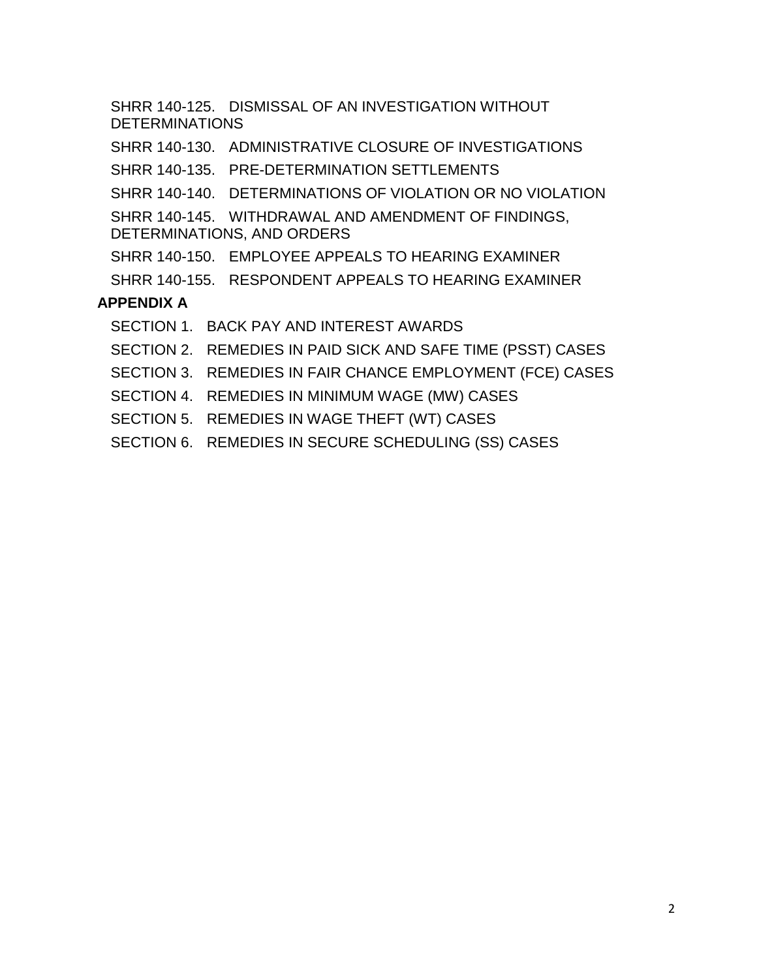SHRR 140-125. [DISMISSAL OF AN INVESTIGATION WITHOUT](#page-10-1)  **[DETERMINATIONS](#page-10-1)** SHRR 140-130. [ADMINISTRATIVE CLOSURE OF INVESTIGATIONS](#page-10-2) SHRR 140-135. [PRE-DETERMINATION SETTLEMENTS](#page-11-0) SHRR 140-140. [DETERMINATIONS OF VIOLATION OR NO VIOLATION](#page-12-0) SHRR 140-145. [WITHDRAWAL AND AMENDMENT OF FINDINGS,](#page-12-1)  [DETERMINATIONS, AND ORDERS](#page-12-1) SHRR 140-150. [EMPLOYEE APPEALS TO HEARING EXAMINER](#page-13-0) SHRR 140-155. [RESPONDENT APPEALS TO HEARING EXAMINER](#page-15-0) **[APPENDIX A](#page-17-0)** SECTION 1. [BACK PAY AND INTEREST AWARDS](#page-17-1) SECTION 2. [REMEDIES IN PAID SICK AND SAFE TIME \(PSST\) CASES](#page-17-2) SECTION 3. REMEDIES IN FAIR CHANCE [EMPLOYMENT \(FCE\) CASES](#page-21-0) SECTION 4. [REMEDIES IN MINIMUM WAGE \(MW\) CASES](#page-22-0) SECTION 5. [REMEDIES IN WAGE THEFT \(WT\) CASES](#page-23-0)

SECTION 6. [REMEDIES IN SECURE SCHEDULING \(SS\) CASES](#page-25-0)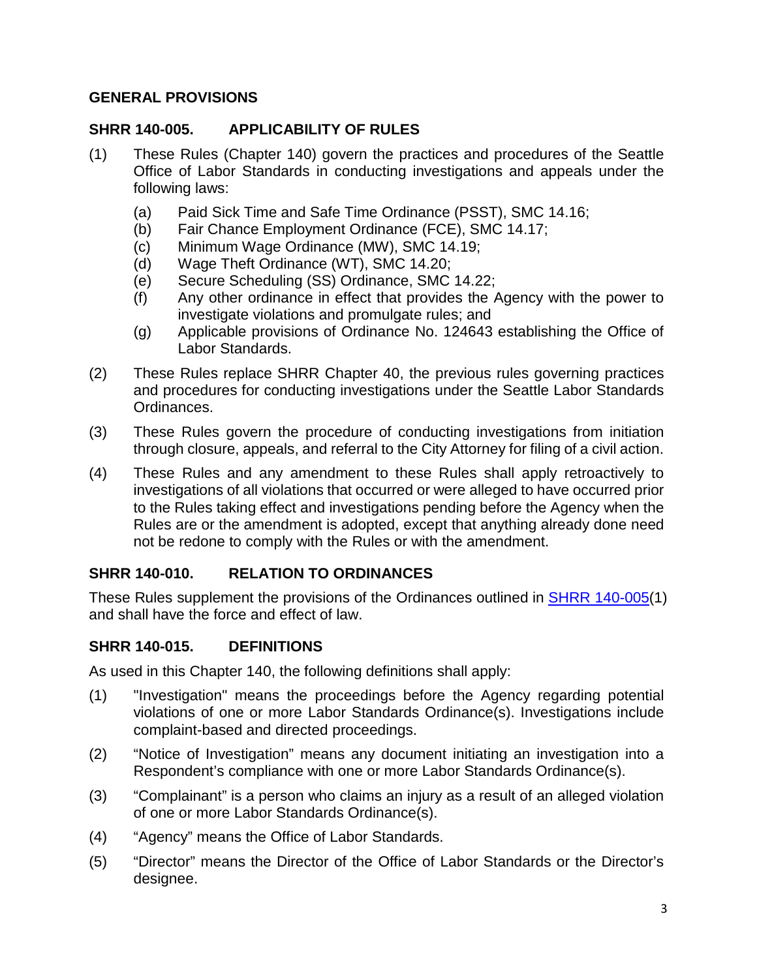### <span id="page-2-0"></span>**GENERAL PROVISIONS**

### <span id="page-2-1"></span>**SHRR 140-005. APPLICABILITY OF RULES**

- (1) These Rules (Chapter 140) govern the practices and procedures of the Seattle Office of Labor Standards in conducting investigations and appeals under the following laws:
	- (a) Paid Sick Time and Safe Time Ordinance (PSST), SMC 14.16;
	- (b) Fair Chance Employment Ordinance (FCE), SMC 14.17;
	- (c) Minimum Wage Ordinance (MW), SMC 14.19;
	- (d) Wage Theft Ordinance (WT), SMC 14.20;
	- (e) Secure Scheduling (SS) Ordinance, SMC 14.22;
	- (f) Any other ordinance in effect that provides the Agency with the power to investigate violations and promulgate rules; and
	- (g) Applicable provisions of Ordinance No. 124643 establishing the Office of Labor Standards.
- (2) These Rules replace SHRR Chapter 40, the previous rules governing practices and procedures for conducting investigations under the Seattle Labor Standards Ordinances.
- (3) These Rules govern the procedure of conducting investigations from initiation through closure, appeals, and referral to the City Attorney for filing of a civil action.
- (4) These Rules and any amendment to these Rules shall apply retroactively to investigations of all violations that occurred or were alleged to have occurred prior to the Rules taking effect and investigations pending before the Agency when the Rules are or the amendment is adopted, except that anything already done need not be redone to comply with the Rules or with the amendment.

## <span id="page-2-2"></span>**SHRR 140-010. RELATION TO ORDINANCES**

These Rules supplement the provisions of the Ordinances outlined in [SHRR 140-005\(](#page-2-1)1) and shall have the force and effect of law.

#### <span id="page-2-3"></span>**SHRR 140-015. DEFINITIONS**

As used in this Chapter 140, the following definitions shall apply:

- (1) "Investigation" means the proceedings before the Agency regarding potential violations of one or more Labor Standards Ordinance(s). Investigations include complaint-based and directed proceedings.
- (2) "Notice of Investigation" means any document initiating an investigation into a Respondent's compliance with one or more Labor Standards Ordinance(s).
- (3) "Complainant" is a person who claims an injury as a result of an alleged violation of one or more Labor Standards Ordinance(s).
- (4) "Agency" means the Office of Labor Standards.
- (5) "Director" means the Director of the Office of Labor Standards or the Director's designee.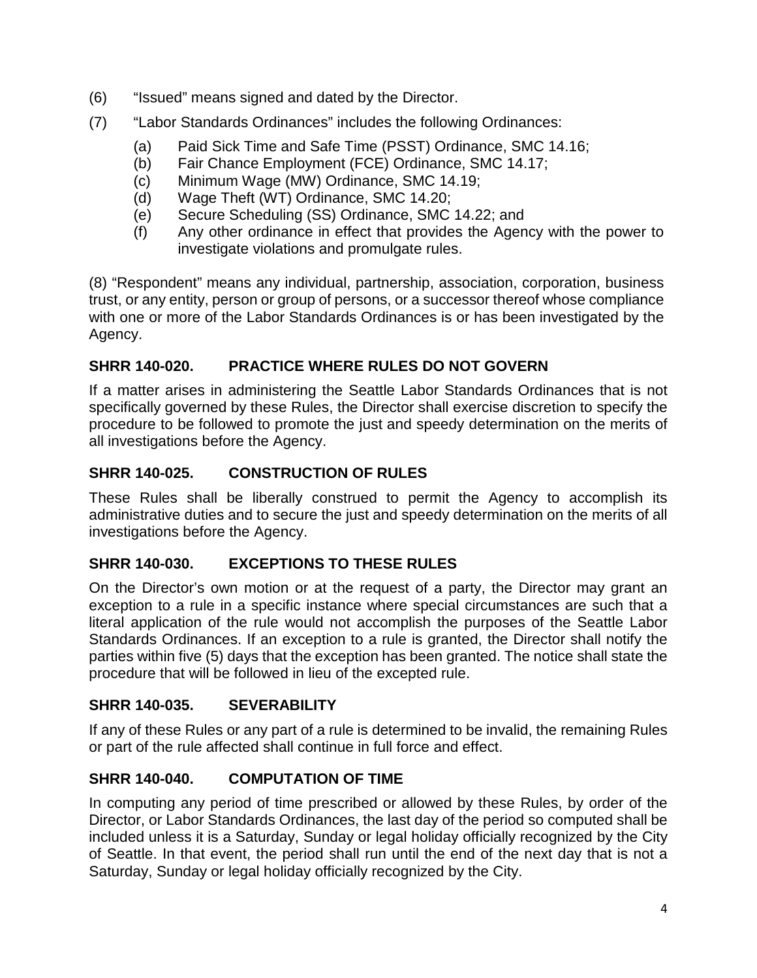- (6) "Issued" means signed and dated by the Director.
- (7) "Labor Standards Ordinances" includes the following Ordinances:
	- (a) Paid Sick Time and Safe Time (PSST) Ordinance, SMC 14.16;
	- (b) Fair Chance Employment (FCE) Ordinance, SMC 14.17;
	- (c) Minimum Wage (MW) Ordinance, SMC 14.19;
	- (d) Wage Theft (WT) Ordinance, SMC 14.20;
	- (e) Secure Scheduling (SS) Ordinance, SMC 14.22; and
	- (f) Any other ordinance in effect that provides the Agency with the power to investigate violations and promulgate rules.

(8) "Respondent" means any individual, partnership, association, corporation, business trust, or any entity, person or group of persons, or a successor thereof whose compliance with one or more of the Labor Standards Ordinances is or has been investigated by the Agency.

## <span id="page-3-0"></span>**SHRR 140-020. PRACTICE WHERE RULES DO NOT GOVERN**

If a matter arises in administering the Seattle Labor Standards Ordinances that is not specifically governed by these Rules, the Director shall exercise discretion to specify the procedure to be followed to promote the just and speedy determination on the merits of all investigations before the Agency.

## <span id="page-3-1"></span>**SHRR 140-025. CONSTRUCTION OF RULES**

These Rules shall be liberally construed to permit the Agency to accomplish its administrative duties and to secure the just and speedy determination on the merits of all investigations before the Agency.

## <span id="page-3-2"></span>**SHRR 140-030. EXCEPTIONS TO THESE RULES**

On the Director's own motion or at the request of a party, the Director may grant an exception to a rule in a specific instance where special circumstances are such that a literal application of the rule would not accomplish the purposes of the Seattle Labor Standards Ordinances. If an exception to a rule is granted, the Director shall notify the parties within five (5) days that the exception has been granted. The notice shall state the procedure that will be followed in lieu of the excepted rule.

## <span id="page-3-3"></span>**SHRR 140-035. SEVERABILITY**

If any of these Rules or any part of a rule is determined to be invalid, the remaining Rules or part of the rule affected shall continue in full force and effect.

## <span id="page-3-4"></span>**SHRR 140-040. COMPUTATION OF TIME**

In computing any period of time prescribed or allowed by these Rules, by order of the Director, or Labor Standards Ordinances, the last day of the period so computed shall be included unless it is a Saturday, Sunday or legal holiday officially recognized by the City of Seattle. In that event, the period shall run until the end of the next day that is not a Saturday, Sunday or legal holiday officially recognized by the City.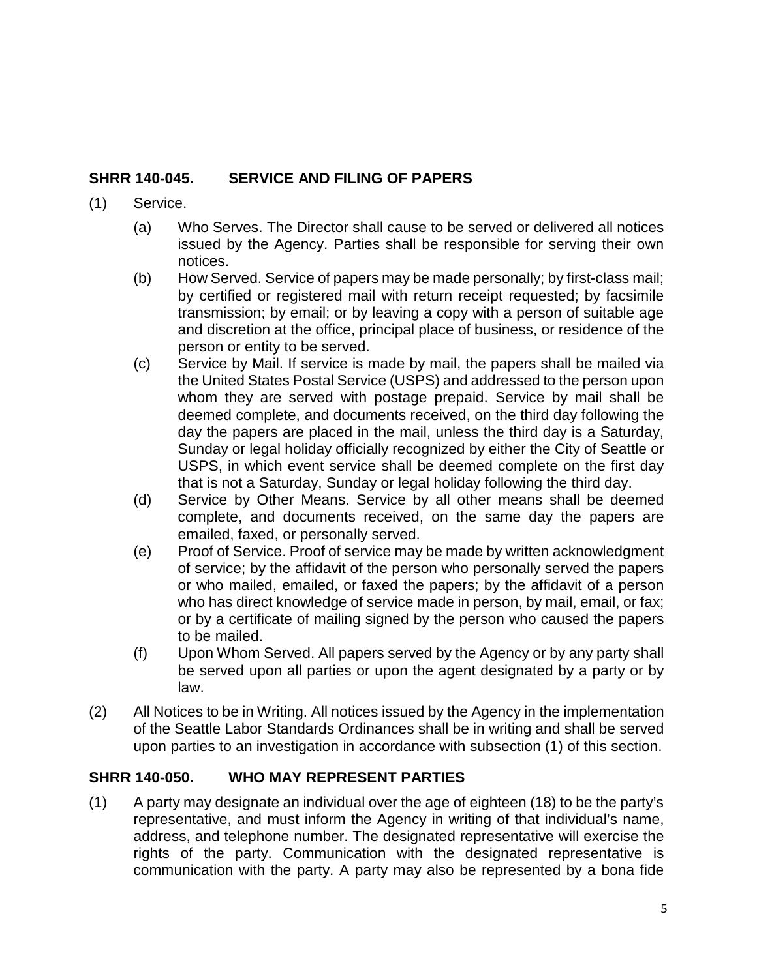## <span id="page-4-0"></span>**SHRR 140-045. SERVICE AND FILING OF PAPERS**

#### (1) Service.

- (a) Who Serves. The Director shall cause to be served or delivered all notices issued by the Agency. Parties shall be responsible for serving their own notices.
- (b) How Served. Service of papers may be made personally; by first-class mail; by certified or registered mail with return receipt requested; by facsimile transmission; by email; or by leaving a copy with a person of suitable age and discretion at the office, principal place of business, or residence of the person or entity to be served.
- (c) Service by Mail. If service is made by mail, the papers shall be mailed via the United States Postal Service (USPS) and addressed to the person upon whom they are served with postage prepaid. Service by mail shall be deemed complete, and documents received, on the third day following the day the papers are placed in the mail, unless the third day is a Saturday, Sunday or legal holiday officially recognized by either the City of Seattle or USPS, in which event service shall be deemed complete on the first day that is not a Saturday, Sunday or legal holiday following the third day.
- (d) Service by Other Means. Service by all other means shall be deemed complete, and documents received, on the same day the papers are emailed, faxed, or personally served.
- (e) Proof of Service. Proof of service may be made by written acknowledgment of service; by the affidavit of the person who personally served the papers or who mailed, emailed, or faxed the papers; by the affidavit of a person who has direct knowledge of service made in person, by mail, email, or fax; or by a certificate of mailing signed by the person who caused the papers to be mailed.
- (f) Upon Whom Served. All papers served by the Agency or by any party shall be served upon all parties or upon the agent designated by a party or by law.
- (2) All Notices to be in Writing. All notices issued by the Agency in the implementation of the Seattle Labor Standards Ordinances shall be in writing and shall be served upon parties to an investigation in accordance with subsection (1) of this section.

## <span id="page-4-1"></span>**SHRR 140-050. WHO MAY REPRESENT PARTIES**

(1) A party may designate an individual over the age of eighteen (18) to be the party's representative, and must inform the Agency in writing of that individual's name, address, and telephone number. The designated representative will exercise the rights of the party. Communication with the designated representative is communication with the party. A party may also be represented by a bona fide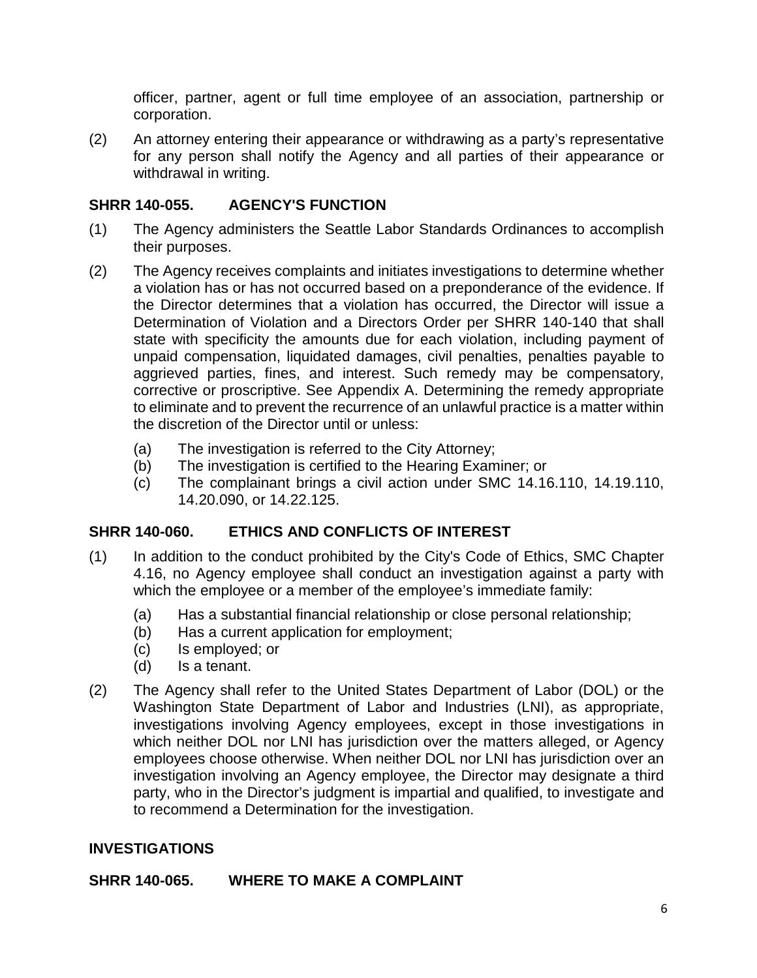officer, partner, agent or full time employee of an association, partnership or corporation.

(2) An attorney entering their appearance or withdrawing as a party's representative for any person shall notify the Agency and all parties of their appearance or withdrawal in writing.

## <span id="page-5-0"></span>**SHRR 140-055. AGENCY'S FUNCTION**

- (1) The Agency administers the Seattle Labor Standards Ordinances to accomplish their purposes.
- (2) The Agency receives complaints and initiates investigations to determine whether a violation has or has not occurred based on a preponderance of the evidence. If the Director determines that a violation has occurred, the Director will issue a Determination of Violation and a Directors Order per SHRR 140-140 that shall state with specificity the amounts due for each violation, including payment of unpaid compensation, liquidated damages, civil penalties, penalties payable to aggrieved parties, fines, and interest. Such remedy may be compensatory, corrective or proscriptive. See Appendix A. Determining the remedy appropriate to eliminate and to prevent the recurrence of an unlawful practice is a matter within the discretion of the Director until or unless:
	- (a) The investigation is referred to the City Attorney;
	- (b) The investigation is certified to the Hearing Examiner; or
	- (c) The complainant brings a civil action under SMC 14.16.110, 14.19.110, 14.20.090, or 14.22.125.

## <span id="page-5-1"></span>**SHRR 140-060. ETHICS AND CONFLICTS OF INTEREST**

- (1) In addition to the conduct prohibited by the City's Code of Ethics, SMC Chapter 4.16, no Agency employee shall conduct an investigation against a party with which the employee or a member of the employee's immediate family:
	- (a) Has a substantial financial relationship or close personal relationship;
	- (b) Has a current application for employment;
	- (c) Is employed; or
	- (d) Is a tenant.
- (2) The Agency shall refer to the United States Department of Labor (DOL) or the Washington State Department of Labor and Industries (LNI), as appropriate, investigations involving Agency employees, except in those investigations in which neither DOL nor LNI has jurisdiction over the matters alleged, or Agency employees choose otherwise. When neither DOL nor LNI has jurisdiction over an investigation involving an Agency employee, the Director may designate a third party, who in the Director's judgment is impartial and qualified, to investigate and to recommend a Determination for the investigation.

## <span id="page-5-2"></span>**INVESTIGATIONS**

## <span id="page-5-3"></span>**SHRR 140-065. WHERE TO MAKE A COMPLAINT**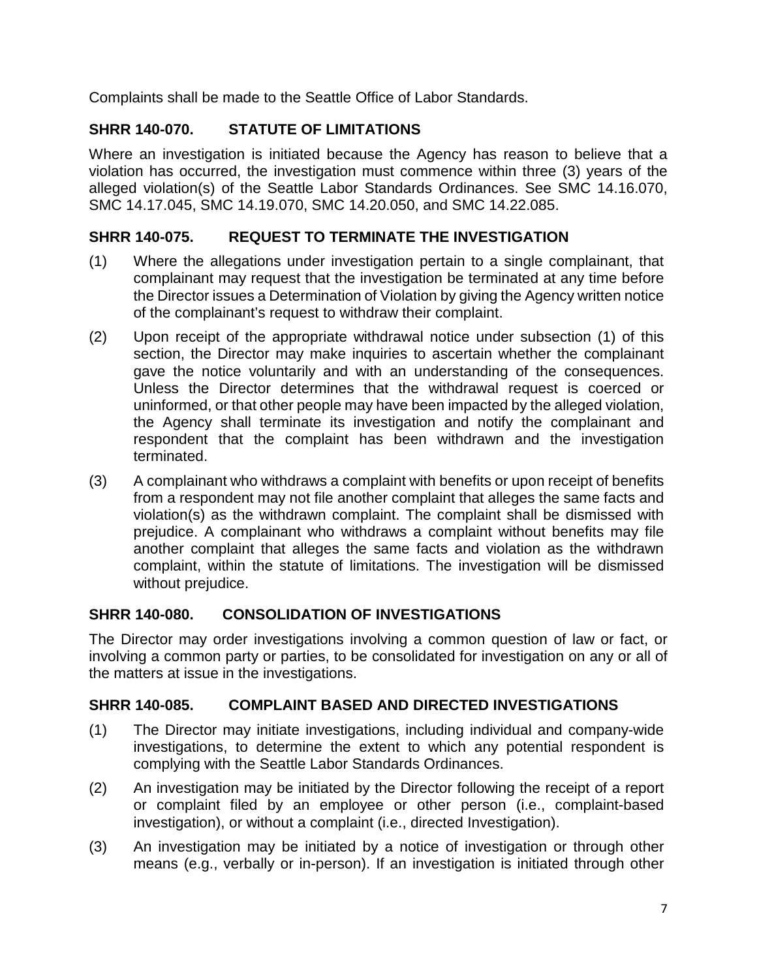Complaints shall be made to the Seattle Office of Labor Standards.

## <span id="page-6-0"></span>**SHRR 140-070. STATUTE OF LIMITATIONS**

Where an investigation is initiated because the Agency has reason to believe that a violation has occurred, the investigation must commence within three (3) years of the alleged violation(s) of the Seattle Labor Standards Ordinances. See SMC 14.16.070, SMC 14.17.045, SMC 14.19.070, SMC 14.20.050, and SMC 14.22.085.

## <span id="page-6-1"></span>**SHRR 140-075. REQUEST TO TERMINATE THE INVESTIGATION**

- (1) Where the allegations under investigation pertain to a single complainant, that complainant may request that the investigation be terminated at any time before the Director issues a Determination of Violation by giving the Agency written notice of the complainant's request to withdraw their complaint.
- (2) Upon receipt of the appropriate withdrawal notice under subsection (1) of this section, the Director may make inquiries to ascertain whether the complainant gave the notice voluntarily and with an understanding of the consequences. Unless the Director determines that the withdrawal request is coerced or uninformed, or that other people may have been impacted by the alleged violation, the Agency shall terminate its investigation and notify the complainant and respondent that the complaint has been withdrawn and the investigation terminated.
- (3) A complainant who withdraws a complaint with benefits or upon receipt of benefits from a respondent may not file another complaint that alleges the same facts and violation(s) as the withdrawn complaint. The complaint shall be dismissed with prejudice. A complainant who withdraws a complaint without benefits may file another complaint that alleges the same facts and violation as the withdrawn complaint, within the statute of limitations. The investigation will be dismissed without prejudice.

## <span id="page-6-2"></span>**SHRR 140-080. CONSOLIDATION OF INVESTIGATIONS**

The Director may order investigations involving a common question of law or fact, or involving a common party or parties, to be consolidated for investigation on any or all of the matters at issue in the investigations.

## <span id="page-6-3"></span>**SHRR 140-085. COMPLAINT BASED AND DIRECTED INVESTIGATIONS**

- (1) The Director may initiate investigations, including individual and company-wide investigations, to determine the extent to which any potential respondent is complying with the Seattle Labor Standards Ordinances.
- (2) An investigation may be initiated by the Director following the receipt of a report or complaint filed by an employee or other person (i.e., complaint-based investigation), or without a complaint (i.e., directed Investigation).
- (3) An investigation may be initiated by a notice of investigation or through other means (e.g., verbally or in-person). If an investigation is initiated through other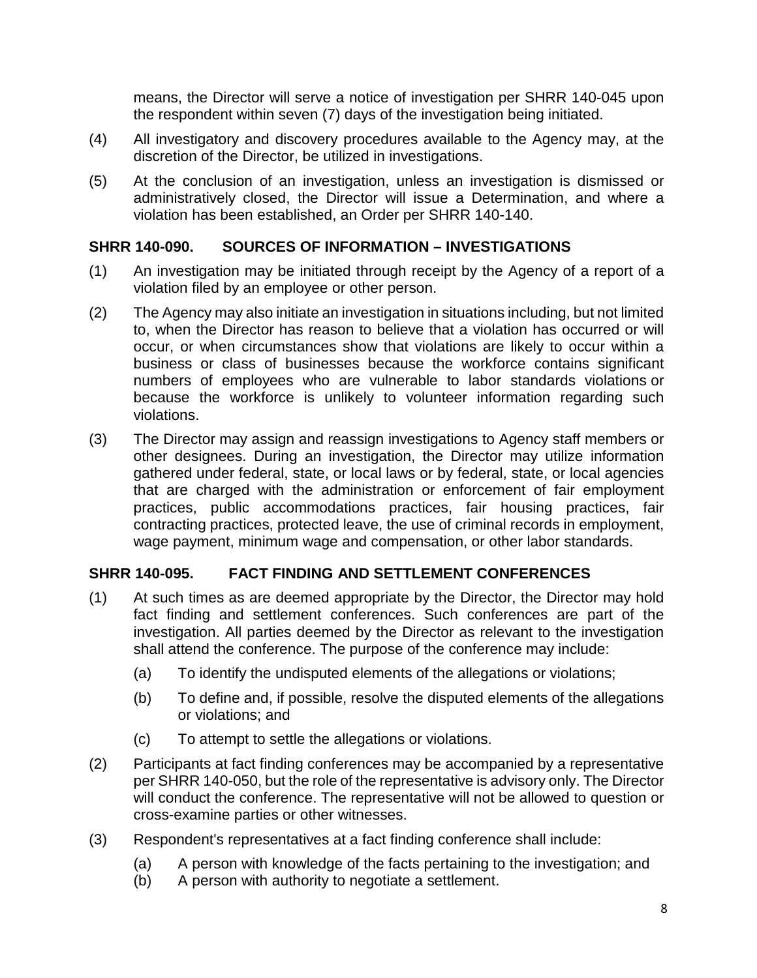means, the Director will serve a notice of investigation per SHRR 140-045 upon the respondent within seven (7) days of the investigation being initiated.

- (4) All investigatory and discovery procedures available to the Agency may, at the discretion of the Director, be utilized in investigations.
- (5) At the conclusion of an investigation, unless an investigation is dismissed or administratively closed, the Director will issue a Determination, and where a violation has been established, an Order per SHRR 140-140.

#### <span id="page-7-0"></span>**SHRR 140-090. SOURCES OF INFORMATION – INVESTIGATIONS**

- (1) An investigation may be initiated through receipt by the Agency of a report of a violation filed by an employee or other person.
- (2) The Agency may also initiate an investigation in situations including, but not limited to, when the Director has reason to believe that a violation has occurred or will occur, or when circumstances show that violations are likely to occur within a business or class of businesses because the workforce contains significant numbers of employees who are vulnerable to labor standards violations or because the workforce is unlikely to volunteer information regarding such violations.
- (3) The Director may assign and reassign investigations to Agency staff members or other designees. During an investigation, the Director may utilize information gathered under federal, state, or local laws or by federal, state, or local agencies that are charged with the administration or enforcement of fair employment practices, public accommodations practices, fair housing practices, fair contracting practices, protected leave, the use of criminal records in employment, wage payment, minimum wage and compensation, or other labor standards.

## <span id="page-7-1"></span>**SHRR 140-095. FACT FINDING AND SETTLEMENT CONFERENCES**

- (1) At such times as are deemed appropriate by the Director, the Director may hold fact finding and settlement conferences. Such conferences are part of the investigation. All parties deemed by the Director as relevant to the investigation shall attend the conference. The purpose of the conference may include:
	- (a) To identify the undisputed elements of the allegations or violations;
	- (b) To define and, if possible, resolve the disputed elements of the allegations or violations; and
	- (c) To attempt to settle the allegations or violations.
- (2) Participants at fact finding conferences may be accompanied by a representative per SHRR 140-050, but the role of the representative is advisory only. The Director will conduct the conference. The representative will not be allowed to question or cross-examine parties or other witnesses.
- (3) Respondent's representatives at a fact finding conference shall include:
	- (a) A person with knowledge of the facts pertaining to the investigation; and
	- (b) A person with authority to negotiate a settlement.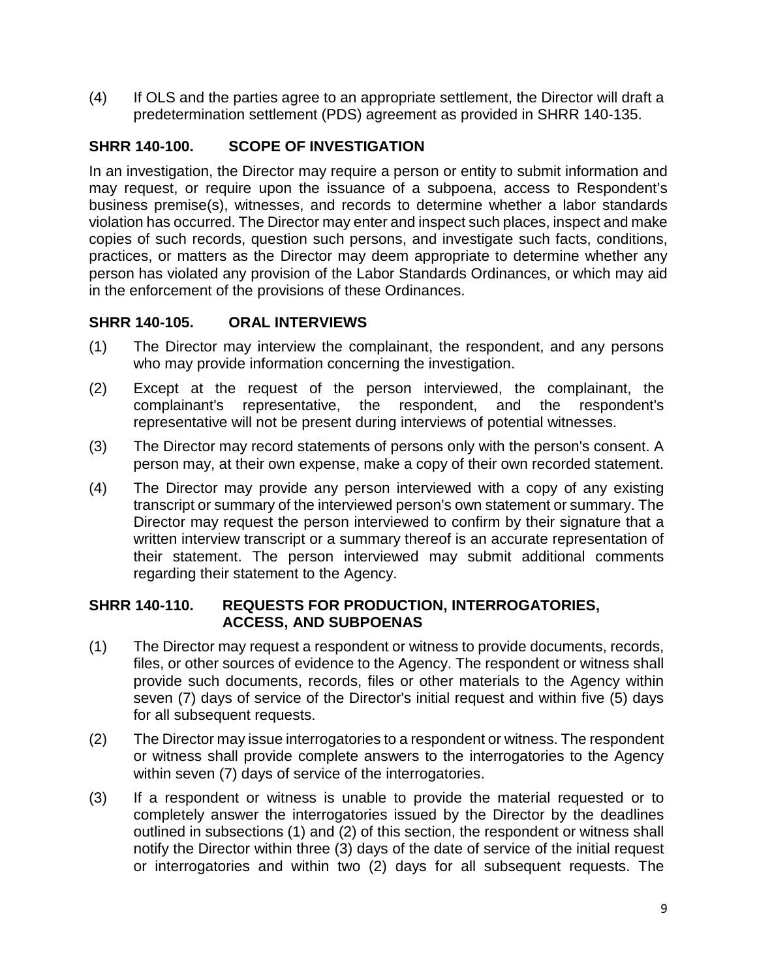(4) If OLS and the parties agree to an appropriate settlement, the Director will draft a predetermination settlement (PDS) agreement as provided in SHRR 140-135.

### <span id="page-8-0"></span>**SHRR 140-100. SCOPE OF INVESTIGATION**

In an investigation, the Director may require a person or entity to submit information and may request, or require upon the issuance of a subpoena, access to Respondent's business premise(s), witnesses, and records to determine whether a labor standards violation has occurred. The Director may enter and inspect such places, inspect and make copies of such records, question such persons, and investigate such facts, conditions, practices, or matters as the Director may deem appropriate to determine whether any person has violated any provision of the Labor Standards Ordinances, or which may aid in the enforcement of the provisions of these Ordinances.

#### <span id="page-8-1"></span>**SHRR 140-105. ORAL INTERVIEWS**

- (1) The Director may interview the complainant, the respondent, and any persons who may provide information concerning the investigation.
- (2) Except at the request of the person interviewed, the complainant, the complainant's representative, the respondent, and the respondent's representative will not be present during interviews of potential witnesses.
- (3) The Director may record statements of persons only with the person's consent. A person may, at their own expense, make a copy of their own recorded statement.
- (4) The Director may provide any person interviewed with a copy of any existing transcript or summary of the interviewed person's own statement or summary. The Director may request the person interviewed to confirm by their signature that a written interview transcript or a summary thereof is an accurate representation of their statement. The person interviewed may submit additional comments regarding their statement to the Agency.

#### <span id="page-8-2"></span>**SHRR 140-110. REQUESTS FOR PRODUCTION, INTERROGATORIES, ACCESS, AND SUBPOENAS**

- (1) The Director may request a respondent or witness to provide documents, records, files, or other sources of evidence to the Agency. The respondent or witness shall provide such documents, records, files or other materials to the Agency within seven (7) days of service of the Director's initial request and within five (5) days for all subsequent requests.
- (2) The Director may issue interrogatories to a respondent or witness. The respondent or witness shall provide complete answers to the interrogatories to the Agency within seven (7) days of service of the interrogatories.
- (3) If a respondent or witness is unable to provide the material requested or to completely answer the interrogatories issued by the Director by the deadlines outlined in subsections (1) and (2) of this section, the respondent or witness shall notify the Director within three (3) days of the date of service of the initial request or interrogatories and within two (2) days for all subsequent requests. The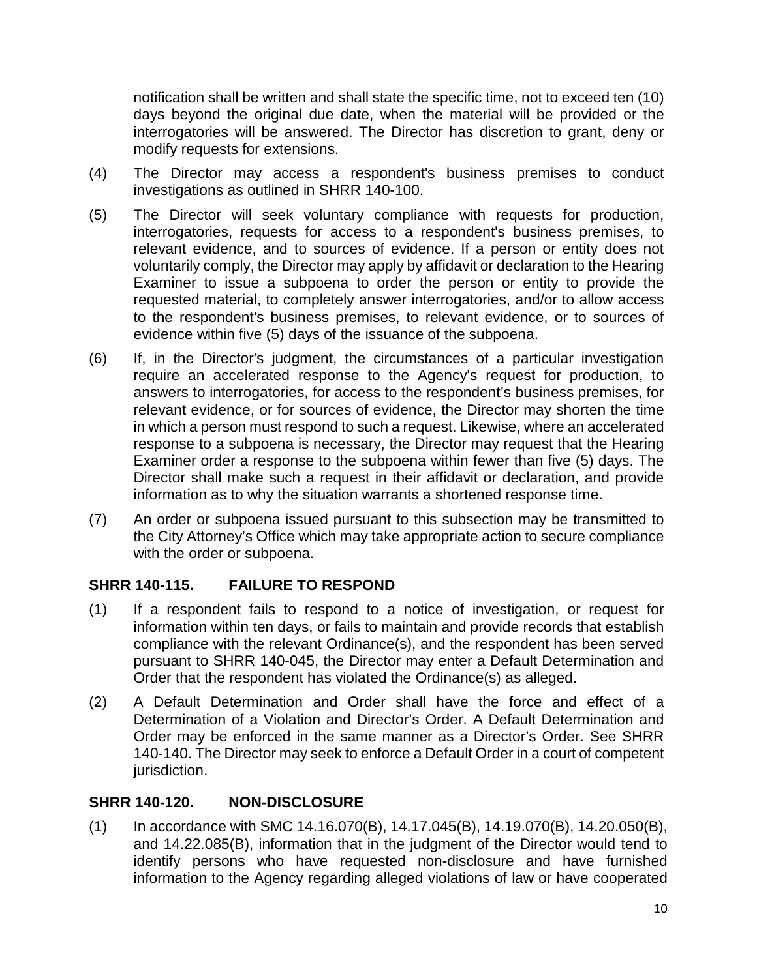notification shall be written and shall state the specific time, not to exceed ten (10) days beyond the original due date, when the material will be provided or the interrogatories will be answered. The Director has discretion to grant, deny or modify requests for extensions.

- (4) The Director may access a respondent's business premises to conduct investigations as outlined in SHRR 140-100.
- (5) The Director will seek voluntary compliance with requests for production, interrogatories, requests for access to a respondent's business premises, to relevant evidence, and to sources of evidence. If a person or entity does not voluntarily comply, the Director may apply by affidavit or declaration to the Hearing Examiner to issue a subpoena to order the person or entity to provide the requested material, to completely answer interrogatories, and/or to allow access to the respondent's business premises, to relevant evidence, or to sources of evidence within five (5) days of the issuance of the subpoena.
- (6) If, in the Director's judgment, the circumstances of a particular investigation require an accelerated response to the Agency's request for production, to answers to interrogatories, for access to the respondent's business premises, for relevant evidence, or for sources of evidence, the Director may shorten the time in which a person must respond to such a request. Likewise, where an accelerated response to a subpoena is necessary, the Director may request that the Hearing Examiner order a response to the subpoena within fewer than five (5) days. The Director shall make such a request in their affidavit or declaration, and provide information as to why the situation warrants a shortened response time.
- (7) An order or subpoena issued pursuant to this subsection may be transmitted to the City Attorney's Office which may take appropriate action to secure compliance with the order or subpoena.

## <span id="page-9-0"></span>**SHRR 140-115. FAILURE TO RESPOND**

- (1) If a respondent fails to respond to a notice of investigation, or request for information within ten days, or fails to maintain and provide records that establish compliance with the relevant Ordinance(s), and the respondent has been served pursuant to SHRR 140-045, the Director may enter a Default Determination and Order that the respondent has violated the Ordinance(s) as alleged.
- (2) A Default Determination and Order shall have the force and effect of a Determination of a Violation and Director's Order. A Default Determination and Order may be enforced in the same manner as a Director's Order. See SHRR 140-140. The Director may seek to enforce a Default Order in a court of competent jurisdiction.

#### <span id="page-9-1"></span>**SHRR 140-120. NON-DISCLOSURE**

(1) In accordance with SMC 14.16.070(B), 14.17.045(B), 14.19.070(B), 14.20.050(B), and 14.22.085(B), information that in the judgment of the Director would tend to identify persons who have requested non-disclosure and have furnished information to the Agency regarding alleged violations of law or have cooperated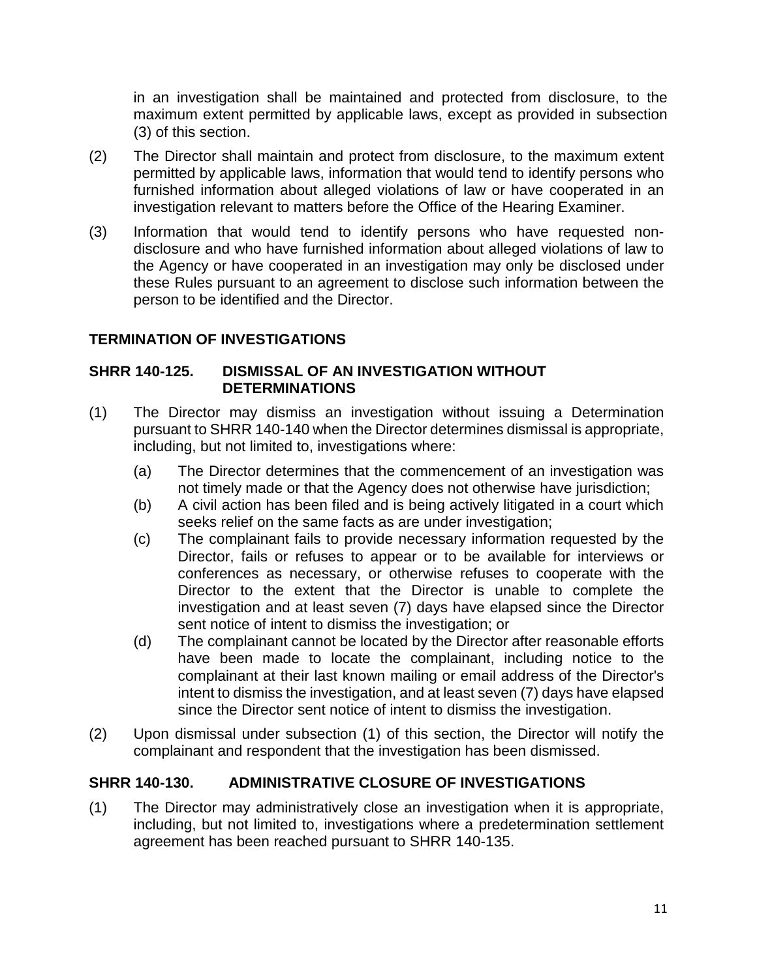in an investigation shall be maintained and protected from disclosure, to the maximum extent permitted by applicable laws, except as provided in subsection (3) of this section.

- (2) The Director shall maintain and protect from disclosure, to the maximum extent permitted by applicable laws, information that would tend to identify persons who furnished information about alleged violations of law or have cooperated in an investigation relevant to matters before the Office of the Hearing Examiner.
- (3) Information that would tend to identify persons who have requested nondisclosure and who have furnished information about alleged violations of law to the Agency or have cooperated in an investigation may only be disclosed under these Rules pursuant to an agreement to disclose such information between the person to be identified and the Director.

## <span id="page-10-0"></span>**TERMINATION OF INVESTIGATIONS**

#### <span id="page-10-1"></span>**SHRR 140-125. DISMISSAL OF AN INVESTIGATION WITHOUT DETERMINATIONS**

- (1) The Director may dismiss an investigation without issuing a Determination pursuant to SHRR 140-140 when the Director determines dismissal is appropriate, including, but not limited to, investigations where:
	- (a) The Director determines that the commencement of an investigation was not timely made or that the Agency does not otherwise have jurisdiction;
	- (b) A civil action has been filed and is being actively litigated in a court which seeks relief on the same facts as are under investigation;
	- (c) The complainant fails to provide necessary information requested by the Director, fails or refuses to appear or to be available for interviews or conferences as necessary, or otherwise refuses to cooperate with the Director to the extent that the Director is unable to complete the investigation and at least seven (7) days have elapsed since the Director sent notice of intent to dismiss the investigation; or
	- (d) The complainant cannot be located by the Director after reasonable efforts have been made to locate the complainant, including notice to the complainant at their last known mailing or email address of the Director's intent to dismiss the investigation, and at least seven (7) days have elapsed since the Director sent notice of intent to dismiss the investigation.
- (2) Upon dismissal under subsection (1) of this section, the Director will notify the complainant and respondent that the investigation has been dismissed.

## <span id="page-10-2"></span>**SHRR 140-130. ADMINISTRATIVE CLOSURE OF INVESTIGATIONS**

(1) The Director may administratively close an investigation when it is appropriate, including, but not limited to, investigations where a predetermination settlement agreement has been reached pursuant to SHRR 140-135.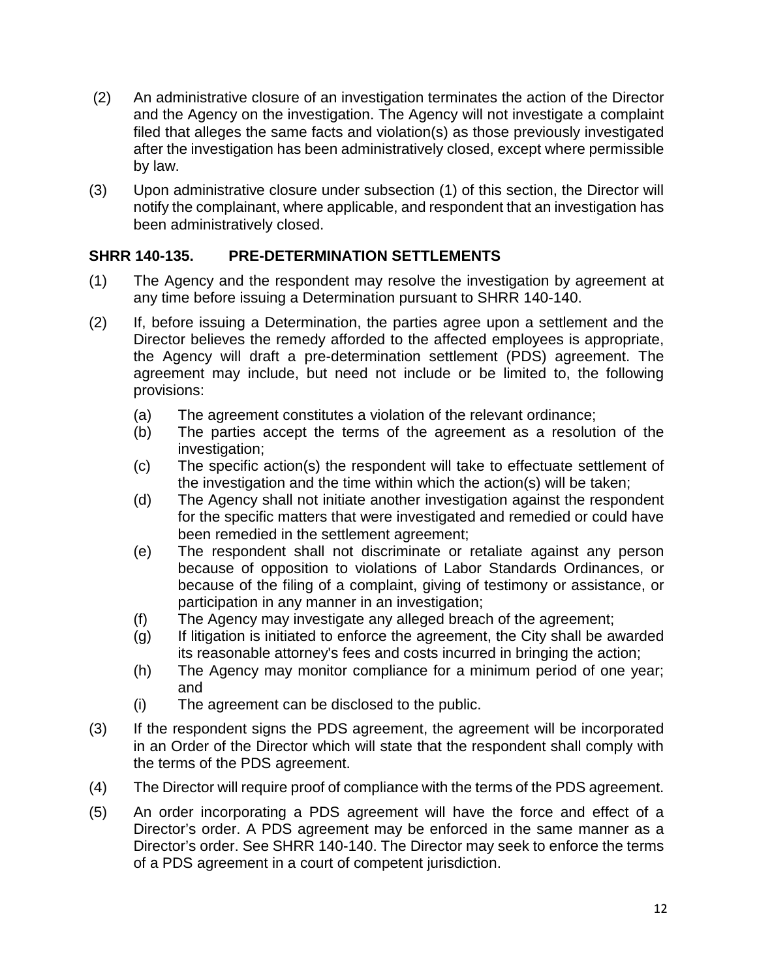- (2) An administrative closure of an investigation terminates the action of the Director and the Agency on the investigation. The Agency will not investigate a complaint filed that alleges the same facts and violation(s) as those previously investigated after the investigation has been administratively closed, except where permissible by law.
- (3) Upon administrative closure under subsection (1) of this section, the Director will notify the complainant, where applicable, and respondent that an investigation has been administratively closed.

#### <span id="page-11-0"></span>**SHRR 140-135. PRE-DETERMINATION SETTLEMENTS**

- (1) The Agency and the respondent may resolve the investigation by agreement at any time before issuing a Determination pursuant to SHRR 140-140.
- (2) If, before issuing a Determination, the parties agree upon a settlement and the Director believes the remedy afforded to the affected employees is appropriate, the Agency will draft a pre-determination settlement (PDS) agreement. The agreement may include, but need not include or be limited to, the following provisions:
	- (a) The agreement constitutes a violation of the relevant ordinance;
	- (b) The parties accept the terms of the agreement as a resolution of the investigation;
	- (c) The specific action(s) the respondent will take to effectuate settlement of the investigation and the time within which the action(s) will be taken;
	- (d) The Agency shall not initiate another investigation against the respondent for the specific matters that were investigated and remedied or could have been remedied in the settlement agreement;
	- (e) The respondent shall not discriminate or retaliate against any person because of opposition to violations of Labor Standards Ordinances, or because of the filing of a complaint, giving of testimony or assistance, or participation in any manner in an investigation;
	- (f) The Agency may investigate any alleged breach of the agreement;
	- (g) If litigation is initiated to enforce the agreement, the City shall be awarded its reasonable attorney's fees and costs incurred in bringing the action;
	- (h) The Agency may monitor compliance for a minimum period of one year; and
	- (i) The agreement can be disclosed to the public.
- (3) If the respondent signs the PDS agreement, the agreement will be incorporated in an Order of the Director which will state that the respondent shall comply with the terms of the PDS agreement.
- (4) The Director will require proof of compliance with the terms of the PDS agreement.
- (5) An order incorporating a PDS agreement will have the force and effect of a Director's order. A PDS agreement may be enforced in the same manner as a Director's order. See SHRR 140-140. The Director may seek to enforce the terms of a PDS agreement in a court of competent jurisdiction.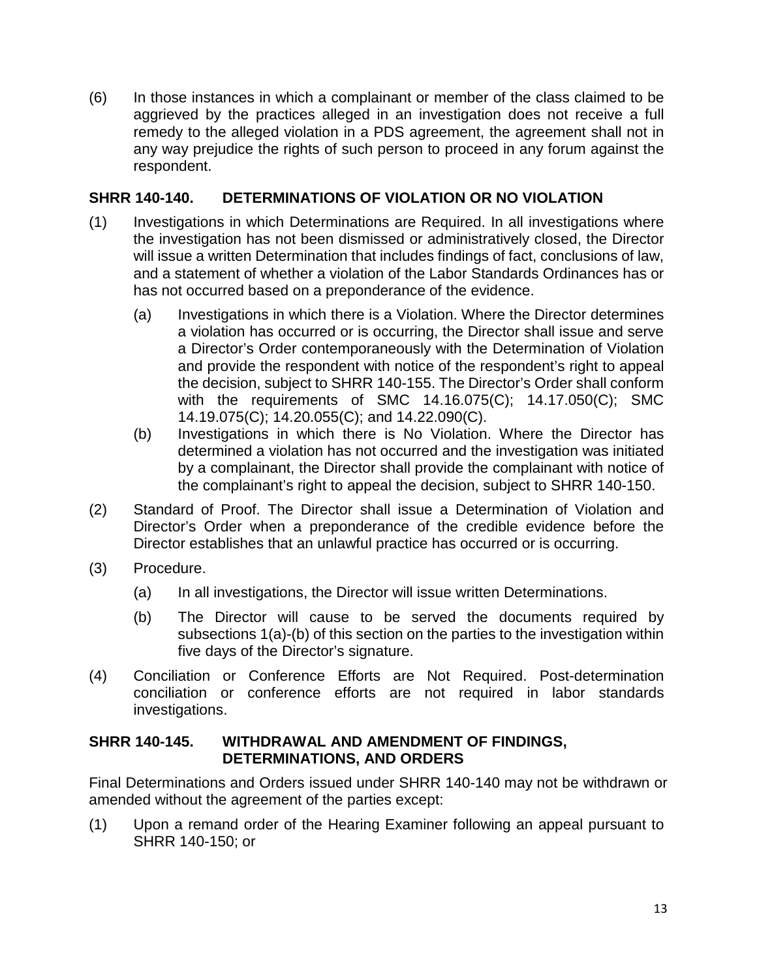(6) In those instances in which a complainant or member of the class claimed to be aggrieved by the practices alleged in an investigation does not receive a full remedy to the alleged violation in a PDS agreement, the agreement shall not in any way prejudice the rights of such person to proceed in any forum against the respondent.

#### <span id="page-12-0"></span>**SHRR 140-140. DETERMINATIONS OF VIOLATION OR NO VIOLATION**

- (1) Investigations in which Determinations are Required. In all investigations where the investigation has not been dismissed or administratively closed, the Director will issue a written Determination that includes findings of fact, conclusions of law, and a statement of whether a violation of the Labor Standards Ordinances has or has not occurred based on a preponderance of the evidence.
	- (a) Investigations in which there is a Violation. Where the Director determines a violation has occurred or is occurring, the Director shall issue and serve a Director's Order contemporaneously with the Determination of Violation and provide the respondent with notice of the respondent's right to appeal the decision, subject to SHRR 140-155. The Director's Order shall conform with the requirements of SMC 14.16.075(C); 14.17.050(C); SMC 14.19.075(C); 14.20.055(C); and 14.22.090(C).
	- (b) Investigations in which there is No Violation. Where the Director has determined a violation has not occurred and the investigation was initiated by a complainant, the Director shall provide the complainant with notice of the complainant's right to appeal the decision, subject to SHRR 140-150.
- (2) Standard of Proof. The Director shall issue a Determination of Violation and Director's Order when a preponderance of the credible evidence before the Director establishes that an unlawful practice has occurred or is occurring.
- (3) Procedure.
	- (a) In all investigations, the Director will issue written Determinations.
	- (b) The Director will cause to be served the documents required by subsections 1(a)-(b) of this section on the parties to the investigation within five days of the Director's signature.
- (4) Conciliation or Conference Efforts are Not Required. Post-determination conciliation or conference efforts are not required in labor standards investigations.

#### <span id="page-12-1"></span>**SHRR 140-145. WITHDRAWAL AND AMENDMENT OF FINDINGS, DETERMINATIONS, AND ORDERS**

Final Determinations and Orders issued under SHRR 140-140 may not be withdrawn or amended without the agreement of the parties except:

(1) Upon a remand order of the Hearing Examiner following an appeal pursuant to SHRR 140-150; or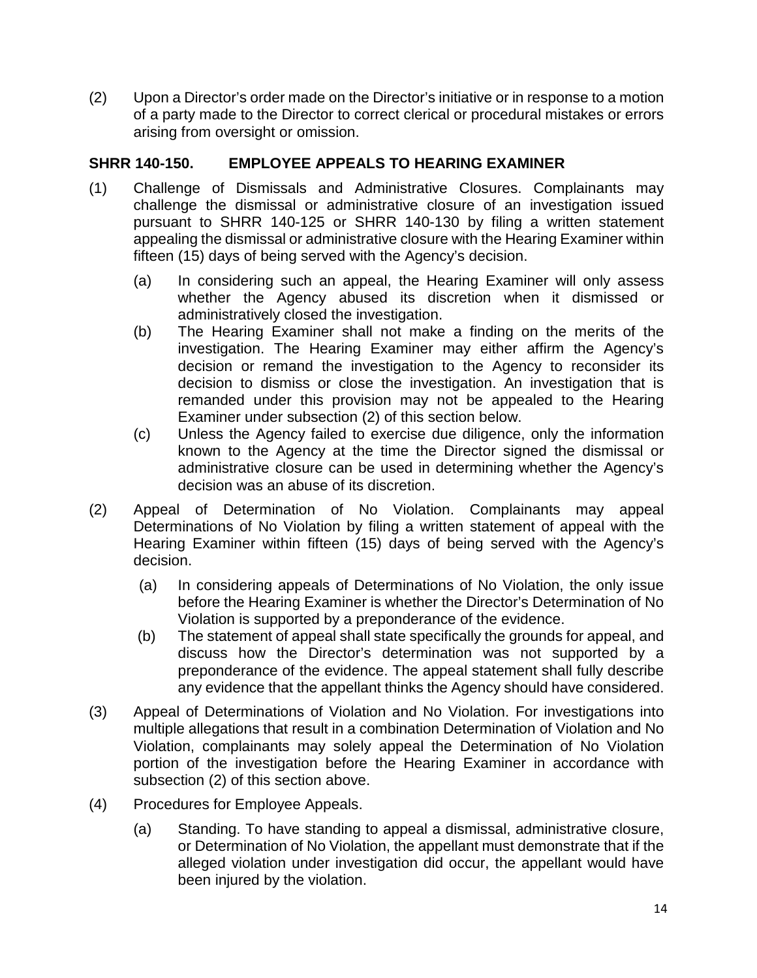(2) Upon a Director's order made on the Director's initiative or in response to a motion of a party made to the Director to correct clerical or procedural mistakes or errors arising from oversight or omission.

## <span id="page-13-0"></span>**SHRR 140-150. EMPLOYEE APPEALS TO HEARING EXAMINER**

- (1) Challenge of Dismissals and Administrative Closures. Complainants may challenge the dismissal or administrative closure of an investigation issued pursuant to SHRR 140-125 or SHRR 140-130 by filing a written statement appealing the dismissal or administrative closure with the Hearing Examiner within fifteen (15) days of being served with the Agency's decision.
	- (a) In considering such an appeal, the Hearing Examiner will only assess whether the Agency abused its discretion when it dismissed or administratively closed the investigation.
	- (b) The Hearing Examiner shall not make a finding on the merits of the investigation. The Hearing Examiner may either affirm the Agency's decision or remand the investigation to the Agency to reconsider its decision to dismiss or close the investigation. An investigation that is remanded under this provision may not be appealed to the Hearing Examiner under subsection (2) of this section below.
	- (c) Unless the Agency failed to exercise due diligence, only the information known to the Agency at the time the Director signed the dismissal or administrative closure can be used in determining whether the Agency's decision was an abuse of its discretion.
- (2) Appeal of Determination of No Violation. Complainants may appeal Determinations of No Violation by filing a written statement of appeal with the Hearing Examiner within fifteen (15) days of being served with the Agency's decision.
	- (a) In considering appeals of Determinations of No Violation, the only issue before the Hearing Examiner is whether the Director's Determination of No Violation is supported by a preponderance of the evidence.
	- (b) The statement of appeal shall state specifically the grounds for appeal, and discuss how the Director's determination was not supported by a preponderance of the evidence. The appeal statement shall fully describe any evidence that the appellant thinks the Agency should have considered.
- (3) Appeal of Determinations of Violation and No Violation. For investigations into multiple allegations that result in a combination Determination of Violation and No Violation, complainants may solely appeal the Determination of No Violation portion of the investigation before the Hearing Examiner in accordance with subsection (2) of this section above.
- (4) Procedures for Employee Appeals.
	- (a) Standing. To have standing to appeal a dismissal, administrative closure, or Determination of No Violation, the appellant must demonstrate that if the alleged violation under investigation did occur, the appellant would have been injured by the violation.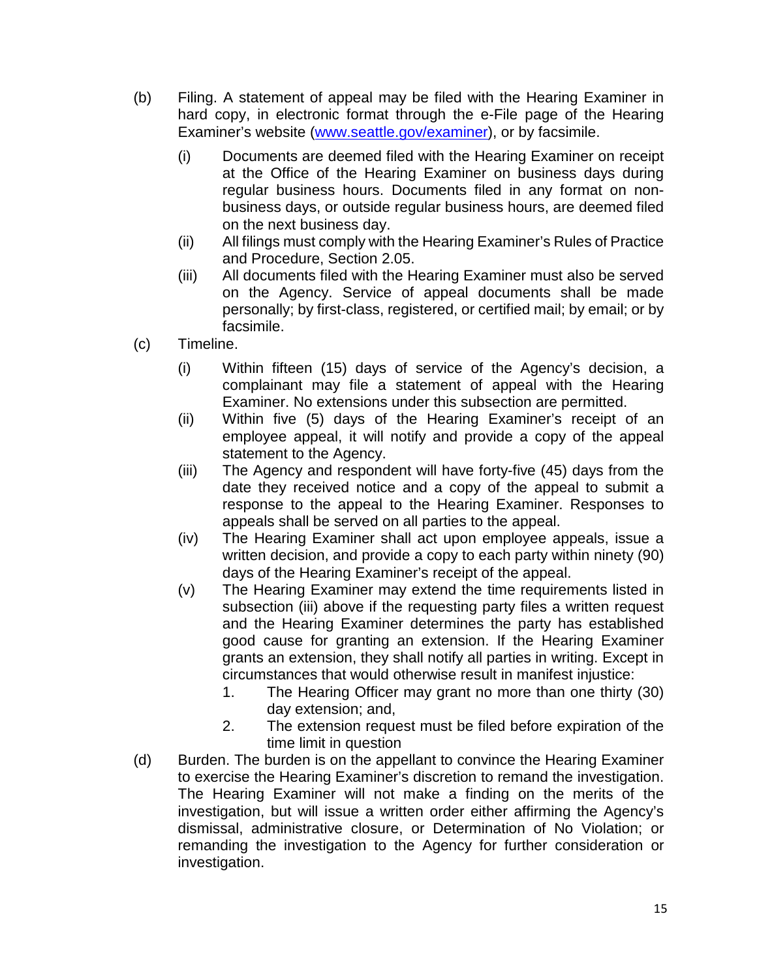- (b) Filing. A statement of appeal may be filed with the Hearing Examiner in hard copy, in electronic format through the e-File page of the Hearing Examiner's website [\(www.seattle.gov/examiner\)](http://www.seattle.gov/examiner), or by facsimile.
	- (i) Documents are deemed filed with the Hearing Examiner on receipt at the Office of the Hearing Examiner on business days during regular business hours. Documents filed in any format on nonbusiness days, or outside regular business hours, are deemed filed on the next business day.
	- (ii) All filings must comply with the Hearing Examiner's Rules of Practice and Procedure, Section 2.05.
	- (iii) All documents filed with the Hearing Examiner must also be served on the Agency. Service of appeal documents shall be made personally; by first-class, registered, or certified mail; by email; or by facsimile.
- (c) Timeline.
	- (i) Within fifteen (15) days of service of the Agency's decision, a complainant may file a statement of appeal with the Hearing Examiner. No extensions under this subsection are permitted.
	- (ii) Within five (5) days of the Hearing Examiner's receipt of an employee appeal, it will notify and provide a copy of the appeal statement to the Agency.
	- (iii) The Agency and respondent will have forty-five (45) days from the date they received notice and a copy of the appeal to submit a response to the appeal to the Hearing Examiner. Responses to appeals shall be served on all parties to the appeal.
	- (iv) The Hearing Examiner shall act upon employee appeals, issue a written decision, and provide a copy to each party within ninety (90) days of the Hearing Examiner's receipt of the appeal.
	- (v) The Hearing Examiner may extend the time requirements listed in subsection (iii) above if the requesting party files a written request and the Hearing Examiner determines the party has established good cause for granting an extension. If the Hearing Examiner grants an extension, they shall notify all parties in writing. Except in circumstances that would otherwise result in manifest injustice:
		- 1. The Hearing Officer may grant no more than one thirty (30) day extension; and,
		- 2. The extension request must be filed before expiration of the time limit in question
- (d) Burden. The burden is on the appellant to convince the Hearing Examiner to exercise the Hearing Examiner's discretion to remand the investigation. The Hearing Examiner will not make a finding on the merits of the investigation, but will issue a written order either affirming the Agency's dismissal, administrative closure, or Determination of No Violation; or remanding the investigation to the Agency for further consideration or investigation.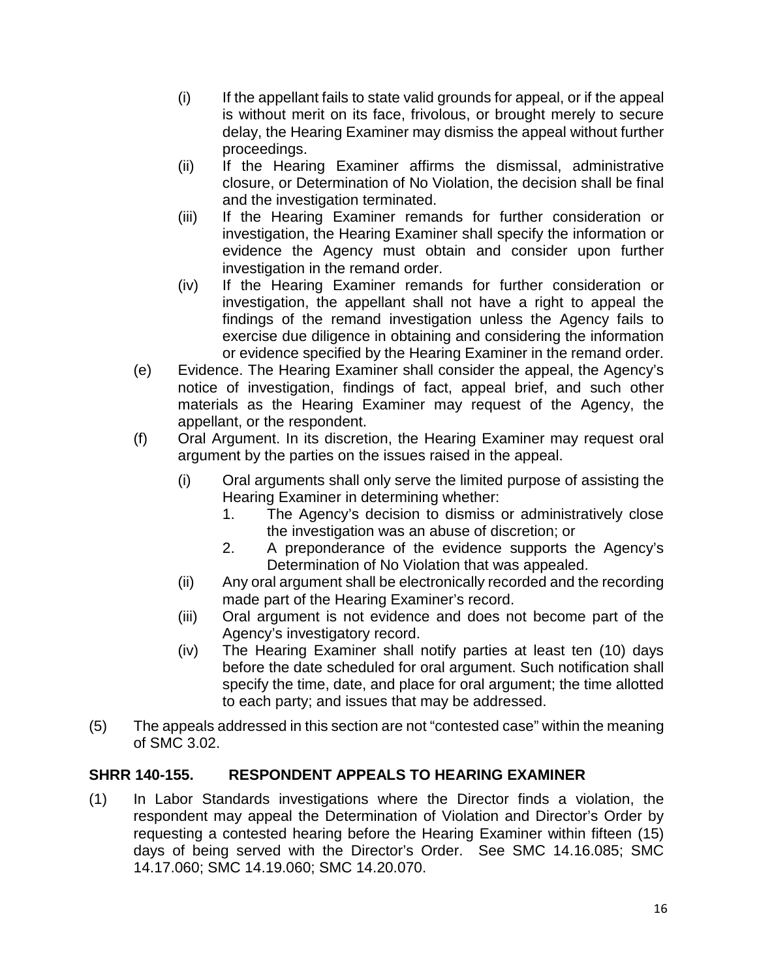- (i) If the appellant fails to state valid grounds for appeal, or if the appeal is without merit on its face, frivolous, or brought merely to secure delay, the Hearing Examiner may dismiss the appeal without further proceedings.
- (ii) If the Hearing Examiner affirms the dismissal, administrative closure, or Determination of No Violation, the decision shall be final and the investigation terminated.
- (iii) If the Hearing Examiner remands for further consideration or investigation, the Hearing Examiner shall specify the information or evidence the Agency must obtain and consider upon further investigation in the remand order.
- (iv) If the Hearing Examiner remands for further consideration or investigation, the appellant shall not have a right to appeal the findings of the remand investigation unless the Agency fails to exercise due diligence in obtaining and considering the information or evidence specified by the Hearing Examiner in the remand order.
- (e) Evidence. The Hearing Examiner shall consider the appeal, the Agency's notice of investigation, findings of fact, appeal brief, and such other materials as the Hearing Examiner may request of the Agency, the appellant, or the respondent.
- (f) Oral Argument. In its discretion, the Hearing Examiner may request oral argument by the parties on the issues raised in the appeal.
	- (i) Oral arguments shall only serve the limited purpose of assisting the Hearing Examiner in determining whether:
		- 1. The Agency's decision to dismiss or administratively close the investigation was an abuse of discretion; or
		- 2. A preponderance of the evidence supports the Agency's Determination of No Violation that was appealed.
	- (ii) Any oral argument shall be electronically recorded and the recording made part of the Hearing Examiner's record.
	- (iii) Oral argument is not evidence and does not become part of the Agency's investigatory record.
	- (iv) The Hearing Examiner shall notify parties at least ten (10) days before the date scheduled for oral argument. Such notification shall specify the time, date, and place for oral argument; the time allotted to each party; and issues that may be addressed.
- (5) The appeals addressed in this section are not "contested case" within the meaning of SMC 3.02.

## <span id="page-15-0"></span>**SHRR 140-155. RESPONDENT APPEALS TO HEARING EXAMINER**

(1) In Labor Standards investigations where the Director finds a violation, the respondent may appeal the Determination of Violation and Director's Order by requesting a contested hearing before the Hearing Examiner within fifteen (15) days of being served with the Director's Order. See SMC 14.16.085; SMC 14.17.060; SMC 14.19.060; SMC 14.20.070.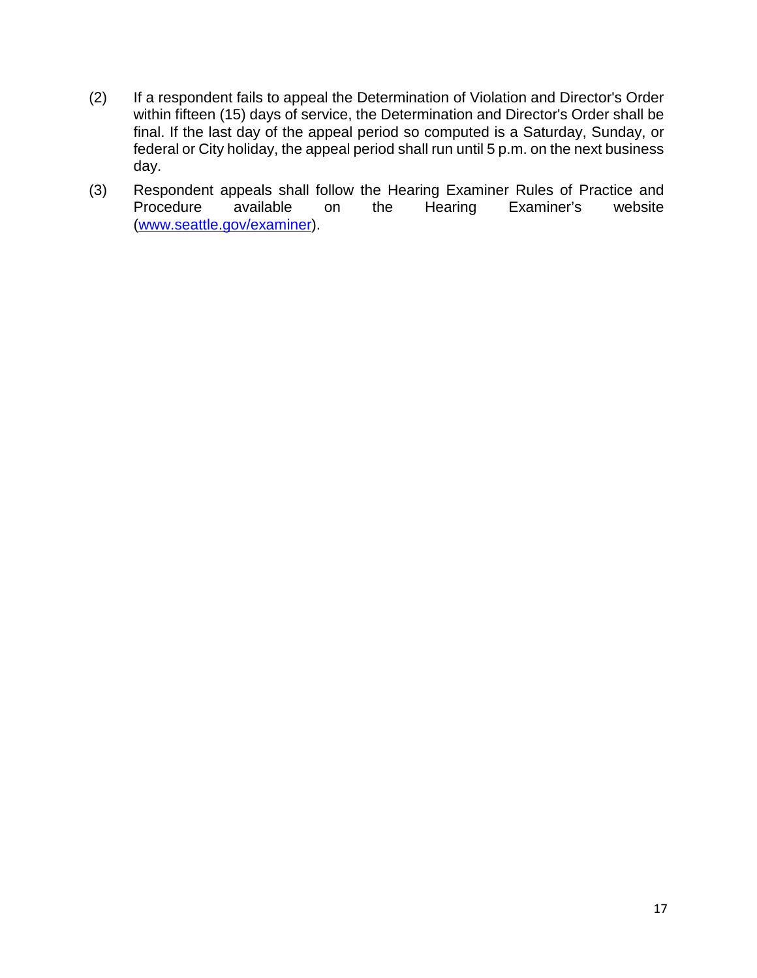- (2) If a respondent fails to appeal the Determination of Violation and Director's Order within fifteen (15) days of service, the Determination and Director's Order shall be final. If the last day of the appeal period so computed is a Saturday, Sunday, or federal or City holiday, the appeal period shall run until 5 p.m. on the next business day.
- (3) Respondent appeals shall follow the Hearing Examiner Rules of Practice and Procedure available on the Hearing Examiner's website [\(www.seattle.gov/examiner\)](http://www.seattle.gov/examiner).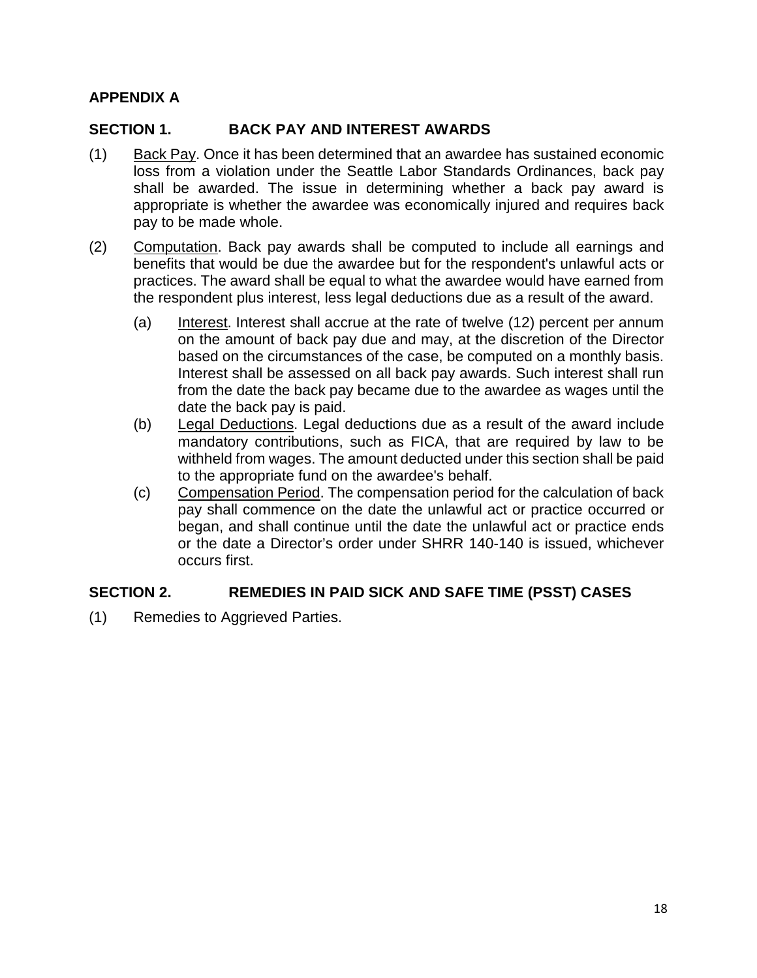## <span id="page-17-0"></span>**APPENDIX A**

## <span id="page-17-1"></span>**SECTION 1. BACK PAY AND INTEREST AWARDS**

- (1) Back Pay. Once it has been determined that an awardee has sustained economic loss from a violation under the Seattle Labor Standards Ordinances, back pay shall be awarded. The issue in determining whether a back pay award is appropriate is whether the awardee was economically injured and requires back pay to be made whole.
- (2) Computation. Back pay awards shall be computed to include all earnings and benefits that would be due the awardee but for the respondent's unlawful acts or practices. The award shall be equal to what the awardee would have earned from the respondent plus interest, less legal deductions due as a result of the award.
	- (a) Interest. Interest shall accrue at the rate of twelve (12) percent per annum on the amount of back pay due and may, at the discretion of the Director based on the circumstances of the case, be computed on a monthly basis. Interest shall be assessed on all back pay awards. Such interest shall run from the date the back pay became due to the awardee as wages until the date the back pay is paid.
	- (b) Legal Deductions. Legal deductions due as a result of the award include mandatory contributions, such as FICA, that are required by law to be withheld from wages. The amount deducted under this section shall be paid to the appropriate fund on the awardee's behalf.
	- (c) Compensation Period. The compensation period for the calculation of back pay shall commence on the date the unlawful act or practice occurred or began, and shall continue until the date the unlawful act or practice ends or the date a Director's order under SHRR 140-140 is issued, whichever occurs first.

## <span id="page-17-2"></span>**SECTION 2. REMEDIES IN PAID SICK AND SAFE TIME (PSST) CASES**

(1) Remedies to Aggrieved Parties.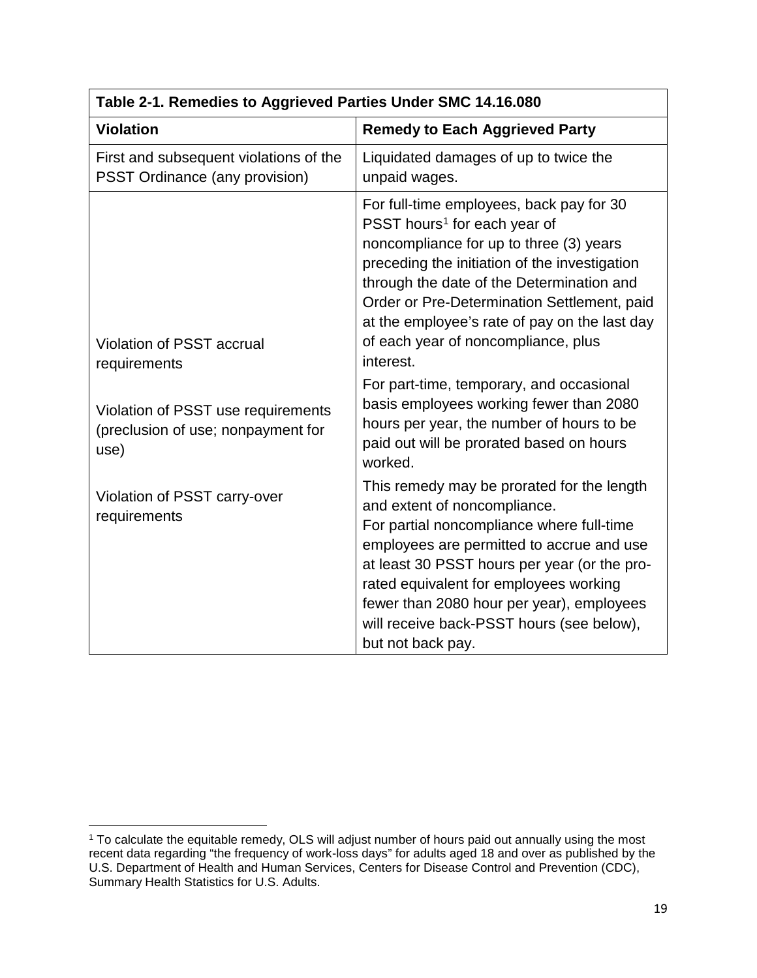| Table 2-T. Refliedles to Aggrieved Parties Under SMC 14.10.000                   |                                                                                                                                                                                                                                                                                                                                                                                   |  |
|----------------------------------------------------------------------------------|-----------------------------------------------------------------------------------------------------------------------------------------------------------------------------------------------------------------------------------------------------------------------------------------------------------------------------------------------------------------------------------|--|
| <b>Violation</b>                                                                 | <b>Remedy to Each Aggrieved Party</b>                                                                                                                                                                                                                                                                                                                                             |  |
| First and subsequent violations of the<br><b>PSST Ordinance (any provision)</b>  | Liquidated damages of up to twice the<br>unpaid wages.                                                                                                                                                                                                                                                                                                                            |  |
| Violation of PSST accrual<br>requirements                                        | For full-time employees, back pay for 30<br>PSST hours <sup>1</sup> for each year of<br>noncompliance for up to three (3) years<br>preceding the initiation of the investigation<br>through the date of the Determination and<br>Order or Pre-Determination Settlement, paid<br>at the employee's rate of pay on the last day<br>of each year of noncompliance, plus<br>interest. |  |
| Violation of PSST use requirements<br>(preclusion of use; nonpayment for<br>use) | For part-time, temporary, and occasional<br>basis employees working fewer than 2080<br>hours per year, the number of hours to be<br>paid out will be prorated based on hours<br>worked.                                                                                                                                                                                           |  |
| Violation of PSST carry-over<br>requirements                                     | This remedy may be prorated for the length<br>and extent of noncompliance.<br>For partial noncompliance where full-time<br>employees are permitted to accrue and use<br>at least 30 PSST hours per year (or the pro-<br>rated equivalent for employees working<br>fewer than 2080 hour per year), employees<br>will receive back-PSST hours (see below),<br>but not back pay.     |  |

# **Table 2-1. Remedies to Aggrieved Parties Under SMC 14.16.080**

<span id="page-18-0"></span> $\overline{\phantom{a}}$ <sup>1</sup> To calculate the equitable remedy, OLS will adjust number of hours paid out annually using the most recent data regarding "the frequency of work-loss days" for adults aged 18 and over as published by the U.S. Department of Health and Human Services, Centers for Disease Control and Prevention (CDC), Summary Health Statistics for U.S. Adults.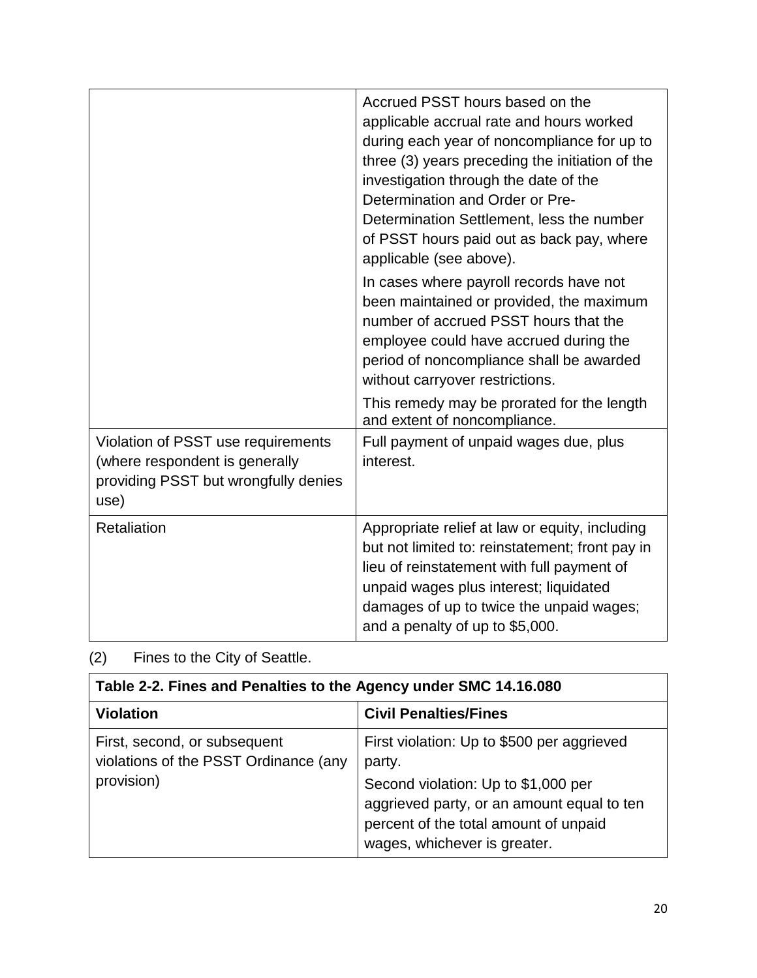|                                                                                                                      | Accrued PSST hours based on the<br>applicable accrual rate and hours worked<br>during each year of noncompliance for up to<br>three (3) years preceding the initiation of the<br>investigation through the date of the<br>Determination and Order or Pre-<br>Determination Settlement, less the number<br>of PSST hours paid out as back pay, where<br>applicable (see above).<br>In cases where payroll records have not<br>been maintained or provided, the maximum<br>number of accrued PSST hours that the<br>employee could have accrued during the<br>period of noncompliance shall be awarded<br>without carryover restrictions. |
|----------------------------------------------------------------------------------------------------------------------|-----------------------------------------------------------------------------------------------------------------------------------------------------------------------------------------------------------------------------------------------------------------------------------------------------------------------------------------------------------------------------------------------------------------------------------------------------------------------------------------------------------------------------------------------------------------------------------------------------------------------------------------|
|                                                                                                                      | This remedy may be prorated for the length<br>and extent of noncompliance.                                                                                                                                                                                                                                                                                                                                                                                                                                                                                                                                                              |
| Violation of PSST use requirements<br>(where respondent is generally<br>providing PSST but wrongfully denies<br>use) | Full payment of unpaid wages due, plus<br>interest.                                                                                                                                                                                                                                                                                                                                                                                                                                                                                                                                                                                     |
| Retaliation                                                                                                          | Appropriate relief at law or equity, including<br>but not limited to: reinstatement; front pay in<br>lieu of reinstatement with full payment of<br>unpaid wages plus interest; liquidated<br>damages of up to twice the unpaid wages;<br>and a penalty of up to \$5,000.                                                                                                                                                                                                                                                                                                                                                                |

## (2) Fines to the City of Seattle.

| Table 2-2. Fines and Penalties to the Agency under SMC 14.16.080                    |                                                                                                                                                                                                                    |  |
|-------------------------------------------------------------------------------------|--------------------------------------------------------------------------------------------------------------------------------------------------------------------------------------------------------------------|--|
| <b>Violation</b>                                                                    | <b>Civil Penalties/Fines</b>                                                                                                                                                                                       |  |
| First, second, or subsequent<br>violations of the PSST Ordinance (any<br>provision) | First violation: Up to \$500 per aggrieved<br>party.<br>Second violation: Up to \$1,000 per<br>aggrieved party, or an amount equal to ten<br>percent of the total amount of unpaid<br>wages, whichever is greater. |  |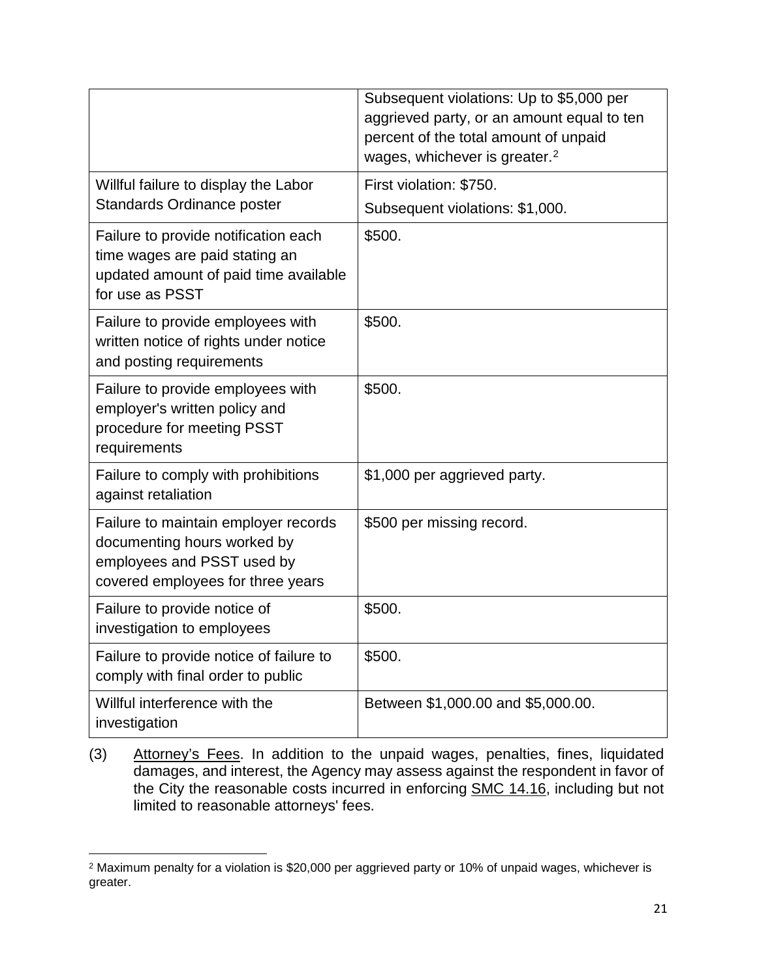|                                                                                                                                        | Subsequent violations: Up to \$5,000 per<br>aggrieved party, or an amount equal to ten<br>percent of the total amount of unpaid<br>wages, whichever is greater. <sup>2</sup> |
|----------------------------------------------------------------------------------------------------------------------------------------|------------------------------------------------------------------------------------------------------------------------------------------------------------------------------|
| Willful failure to display the Labor<br><b>Standards Ordinance poster</b>                                                              | First violation: \$750.<br>Subsequent violations: \$1,000.                                                                                                                   |
| Failure to provide notification each<br>time wages are paid stating an<br>updated amount of paid time available<br>for use as PSST     | \$500.                                                                                                                                                                       |
| Failure to provide employees with<br>written notice of rights under notice<br>and posting requirements                                 | \$500.                                                                                                                                                                       |
| Failure to provide employees with<br>employer's written policy and<br>procedure for meeting PSST<br>requirements                       | \$500.                                                                                                                                                                       |
| Failure to comply with prohibitions<br>against retaliation                                                                             | \$1,000 per aggrieved party.                                                                                                                                                 |
| Failure to maintain employer records<br>documenting hours worked by<br>employees and PSST used by<br>covered employees for three years | \$500 per missing record.                                                                                                                                                    |
| Failure to provide notice of<br>investigation to employees                                                                             | \$500.                                                                                                                                                                       |
| Failure to provide notice of failure to<br>comply with final order to public                                                           | \$500.                                                                                                                                                                       |
| Willful interference with the<br>investigation                                                                                         | Between \$1,000.00 and \$5,000.00.                                                                                                                                           |

(3) Attorney's Fees. In addition to the unpaid wages, penalties, fines, liquidated damages, and interest, the Agency may assess against the respondent in favor of the City the reasonable costs incurred in enforcing SMC 14.16, including but not limited to reasonable attorneys' fees.

<span id="page-20-0"></span> $\overline{\phantom{a}}$ <sup>2</sup> Maximum penalty for a violation is \$20,000 per aggrieved party or 10% of unpaid wages, whichever is greater.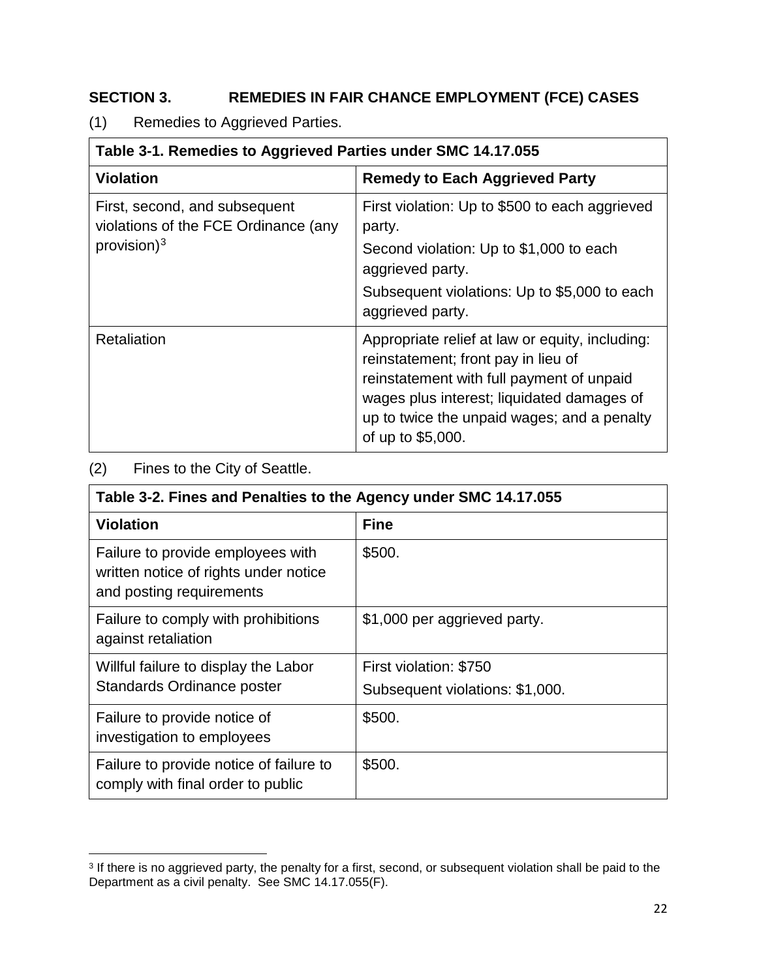## <span id="page-21-0"></span>**SECTION 3. REMEDIES IN FAIR CHANCE EMPLOYMENT (FCE) CASES**

(1) Remedies to Aggrieved Parties.

| Table 3-1. Remedies to Aggrieved Parties under SMC 14.17.055          |                                                                                                                                                                                                                                                       |  |
|-----------------------------------------------------------------------|-------------------------------------------------------------------------------------------------------------------------------------------------------------------------------------------------------------------------------------------------------|--|
| <b>Violation</b>                                                      | <b>Remedy to Each Aggrieved Party</b>                                                                                                                                                                                                                 |  |
| First, second, and subsequent<br>violations of the FCE Ordinance (any | First violation: Up to \$500 to each aggrieved<br>party.                                                                                                                                                                                              |  |
| provision) $3$                                                        | Second violation: Up to \$1,000 to each<br>aggrieved party.                                                                                                                                                                                           |  |
|                                                                       | Subsequent violations: Up to \$5,000 to each<br>aggrieved party.                                                                                                                                                                                      |  |
| Retaliation                                                           | Appropriate relief at law or equity, including:<br>reinstatement; front pay in lieu of<br>reinstatement with full payment of unpaid<br>wages plus interest; liquidated damages of<br>up to twice the unpaid wages; and a penalty<br>of up to \$5,000. |  |

## (2) Fines to the City of Seattle.

 $\overline{\phantom{a}}$ 

| Table 3-2. Fines and Penalties to the Agency under SMC 14.17.055                                       |                                 |
|--------------------------------------------------------------------------------------------------------|---------------------------------|
| <b>Violation</b>                                                                                       | <b>Fine</b>                     |
| Failure to provide employees with<br>written notice of rights under notice<br>and posting requirements | \$500.                          |
| Failure to comply with prohibitions<br>against retaliation                                             | \$1,000 per aggrieved party.    |
| Willful failure to display the Labor                                                                   | First violation: \$750          |
| <b>Standards Ordinance poster</b>                                                                      | Subsequent violations: \$1,000. |
| Failure to provide notice of<br>investigation to employees                                             | \$500.                          |
| Failure to provide notice of failure to<br>comply with final order to public                           | \$500.                          |

<span id="page-21-1"></span><sup>&</sup>lt;sup>3</sup> If there is no aggrieved party, the penalty for a first, second, or subsequent violation shall be paid to the Department as a civil penalty. See SMC 14.17.055(F).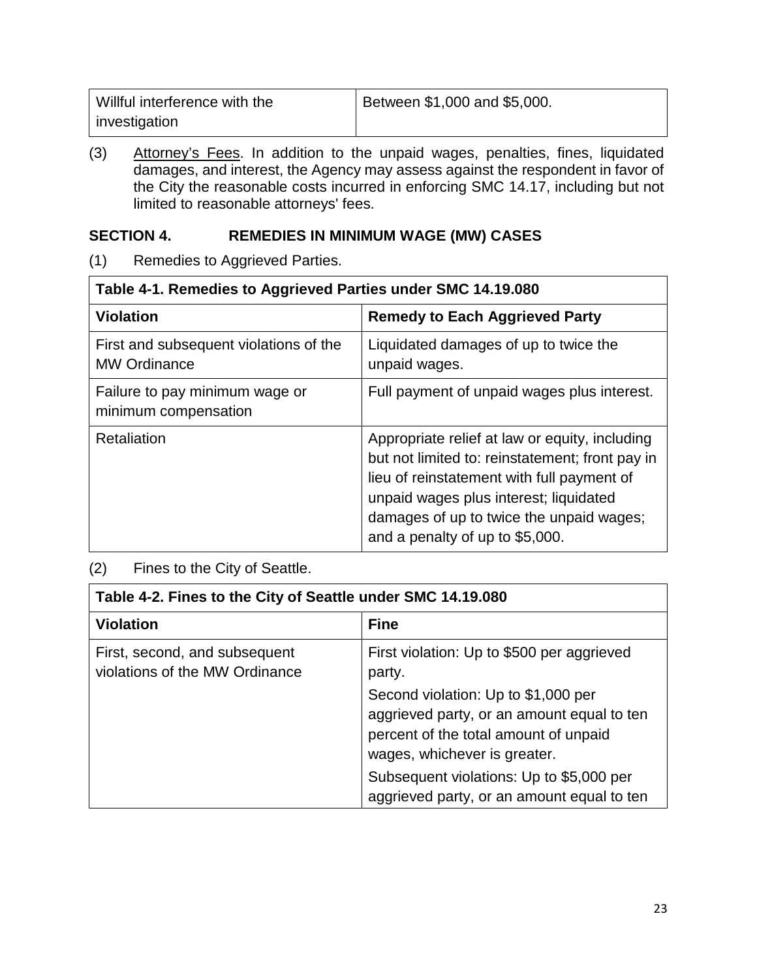| Willful interference with the | Between \$1,000 and \$5,000. |
|-------------------------------|------------------------------|
| investigation                 |                              |

(3) Attorney's Fees. In addition to the unpaid wages, penalties, fines, liquidated damages, and interest, the Agency may assess against the respondent in favor of the City the reasonable costs incurred in enforcing SMC 14.17, including but not limited to reasonable attorneys' fees.

## <span id="page-22-0"></span>**SECTION 4. REMEDIES IN MINIMUM WAGE (MW) CASES**

(1) Remedies to Aggrieved Parties.

| Table 4-1. Remedies to Aggrieved Parties under SMC 14.19.080  |                                                                                                                                                                                                                                                                          |  |
|---------------------------------------------------------------|--------------------------------------------------------------------------------------------------------------------------------------------------------------------------------------------------------------------------------------------------------------------------|--|
| <b>Violation</b>                                              | <b>Remedy to Each Aggrieved Party</b>                                                                                                                                                                                                                                    |  |
| First and subsequent violations of the<br><b>MW Ordinance</b> | Liquidated damages of up to twice the<br>unpaid wages.                                                                                                                                                                                                                   |  |
| Failure to pay minimum wage or<br>minimum compensation        | Full payment of unpaid wages plus interest.                                                                                                                                                                                                                              |  |
| Retaliation                                                   | Appropriate relief at law or equity, including<br>but not limited to: reinstatement; front pay in<br>lieu of reinstatement with full payment of<br>unpaid wages plus interest; liquidated<br>damages of up to twice the unpaid wages;<br>and a penalty of up to \$5,000. |  |

## (2) Fines to the City of Seattle.

| Table 4-2. Fines to the City of Seattle under SMC 14.19.080     |                                                                                                                                                            |  |
|-----------------------------------------------------------------|------------------------------------------------------------------------------------------------------------------------------------------------------------|--|
| <b>Violation</b>                                                | <b>Fine</b>                                                                                                                                                |  |
| First, second, and subsequent<br>violations of the MW Ordinance | First violation: Up to \$500 per aggrieved<br>party.                                                                                                       |  |
|                                                                 | Second violation: Up to \$1,000 per<br>aggrieved party, or an amount equal to ten<br>percent of the total amount of unpaid<br>wages, whichever is greater. |  |
|                                                                 | Subsequent violations: Up to \$5,000 per<br>aggrieved party, or an amount equal to ten                                                                     |  |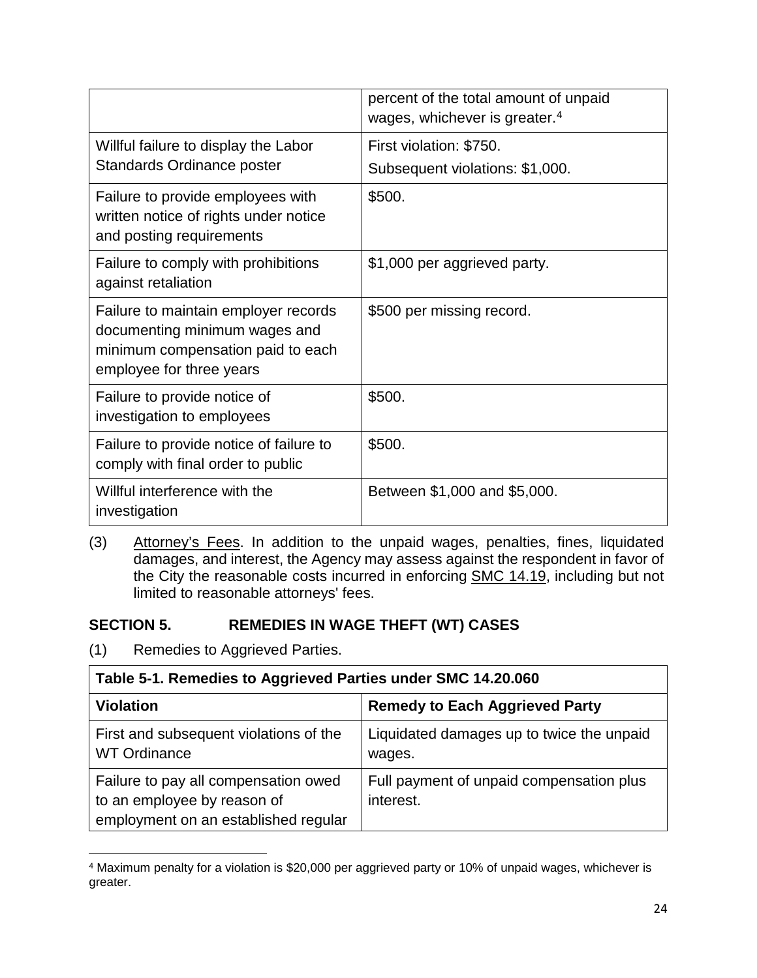|                                                                                                                                        | percent of the total amount of unpaid<br>wages, whichever is greater. <sup>4</sup> |
|----------------------------------------------------------------------------------------------------------------------------------------|------------------------------------------------------------------------------------|
| Willful failure to display the Labor<br>Standards Ordinance poster                                                                     | First violation: \$750.<br>Subsequent violations: \$1,000.                         |
| Failure to provide employees with<br>written notice of rights under notice<br>and posting requirements                                 | \$500.                                                                             |
| Failure to comply with prohibitions<br>against retaliation                                                                             | \$1,000 per aggrieved party.                                                       |
| Failure to maintain employer records<br>documenting minimum wages and<br>minimum compensation paid to each<br>employee for three years | \$500 per missing record.                                                          |
| Failure to provide notice of<br>investigation to employees                                                                             | \$500.                                                                             |
| Failure to provide notice of failure to<br>comply with final order to public                                                           | \$500.                                                                             |
| Willful interference with the<br>investigation                                                                                         | Between \$1,000 and \$5,000.                                                       |

(3) Attorney's Fees. In addition to the unpaid wages, penalties, fines, liquidated damages, and interest, the Agency may assess against the respondent in favor of the City the reasonable costs incurred in enforcing SMC 14.19, including but not limited to reasonable attorneys' fees.

## <span id="page-23-0"></span>**SECTION 5. REMEDIES IN WAGE THEFT (WT) CASES**

(1) Remedies to Aggrieved Parties.

| Table 5-1. Remedies to Aggrieved Parties under SMC 14.20.060                                                |                                                       |
|-------------------------------------------------------------------------------------------------------------|-------------------------------------------------------|
| <b>Violation</b>                                                                                            | <b>Remedy to Each Aggrieved Party</b>                 |
| First and subsequent violations of the<br><b>WT Ordinance</b>                                               | Liquidated damages up to twice the unpaid<br>wages.   |
| Failure to pay all compensation owed<br>to an employee by reason of<br>employment on an established regular | Full payment of unpaid compensation plus<br>interest. |

<span id="page-23-1"></span> $\overline{\phantom{a}}$ <sup>4</sup> Maximum penalty for a violation is \$20,000 per aggrieved party or 10% of unpaid wages, whichever is greater.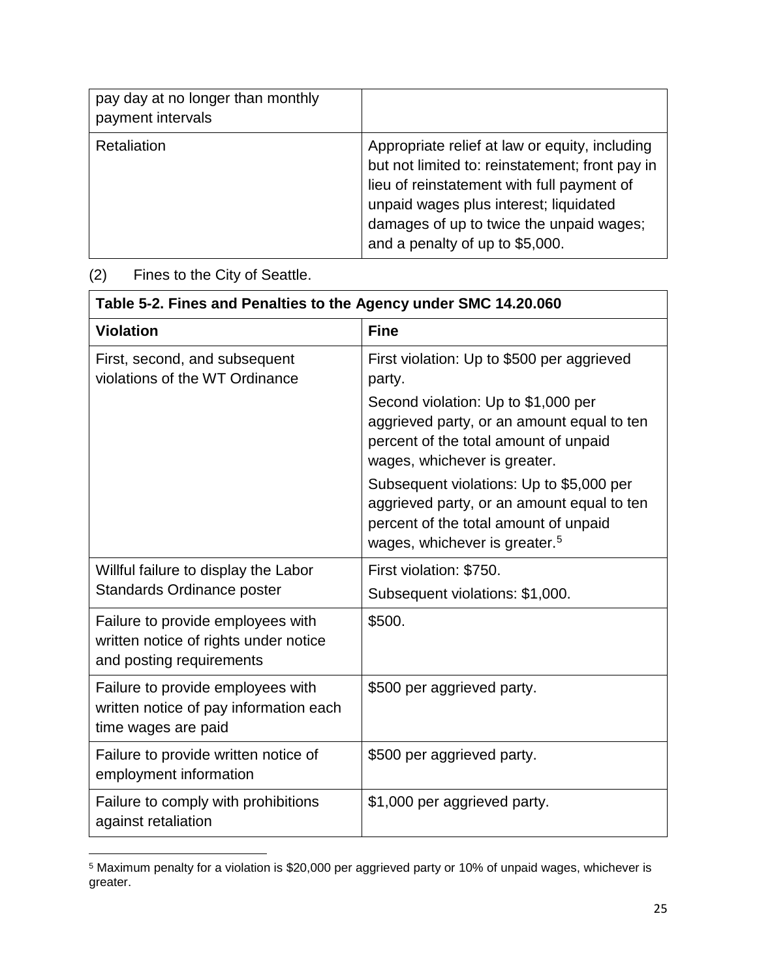| pay day at no longer than monthly<br>payment intervals |                                                                                                                                                                                                                                                                          |
|--------------------------------------------------------|--------------------------------------------------------------------------------------------------------------------------------------------------------------------------------------------------------------------------------------------------------------------------|
| Retaliation                                            | Appropriate relief at law or equity, including<br>but not limited to: reinstatement; front pay in<br>lieu of reinstatement with full payment of<br>unpaid wages plus interest; liquidated<br>damages of up to twice the unpaid wages;<br>and a penalty of up to \$5,000. |

# (2) Fines to the City of Seattle.

 $\overline{\phantom{a}}$ 

| Table 5-2. Fines and Penalties to the Agency under SMC 14.20.060                                       |                                                                                                                                                                                                                                                                                                                                                                                                    |  |
|--------------------------------------------------------------------------------------------------------|----------------------------------------------------------------------------------------------------------------------------------------------------------------------------------------------------------------------------------------------------------------------------------------------------------------------------------------------------------------------------------------------------|--|
| <b>Violation</b>                                                                                       | <b>Fine</b>                                                                                                                                                                                                                                                                                                                                                                                        |  |
| First, second, and subsequent<br>violations of the WT Ordinance                                        | First violation: Up to \$500 per aggrieved<br>party.<br>Second violation: Up to \$1,000 per<br>aggrieved party, or an amount equal to ten<br>percent of the total amount of unpaid<br>wages, whichever is greater.<br>Subsequent violations: Up to \$5,000 per<br>aggrieved party, or an amount equal to ten<br>percent of the total amount of unpaid<br>wages, whichever is greater. <sup>5</sup> |  |
| Willful failure to display the Labor<br>Standards Ordinance poster                                     | First violation: \$750.<br>Subsequent violations: \$1,000.                                                                                                                                                                                                                                                                                                                                         |  |
| Failure to provide employees with<br>written notice of rights under notice<br>and posting requirements | \$500.                                                                                                                                                                                                                                                                                                                                                                                             |  |
| Failure to provide employees with<br>written notice of pay information each<br>time wages are paid     | \$500 per aggrieved party.                                                                                                                                                                                                                                                                                                                                                                         |  |
| Failure to provide written notice of<br>employment information                                         | \$500 per aggrieved party.                                                                                                                                                                                                                                                                                                                                                                         |  |
| Failure to comply with prohibitions<br>against retaliation                                             | \$1,000 per aggrieved party.                                                                                                                                                                                                                                                                                                                                                                       |  |

<span id="page-24-0"></span> $^5$  Maximum penalty for a violation is  $\$20,000$  per aggrieved party or 10% of unpaid wages, whichever is greater.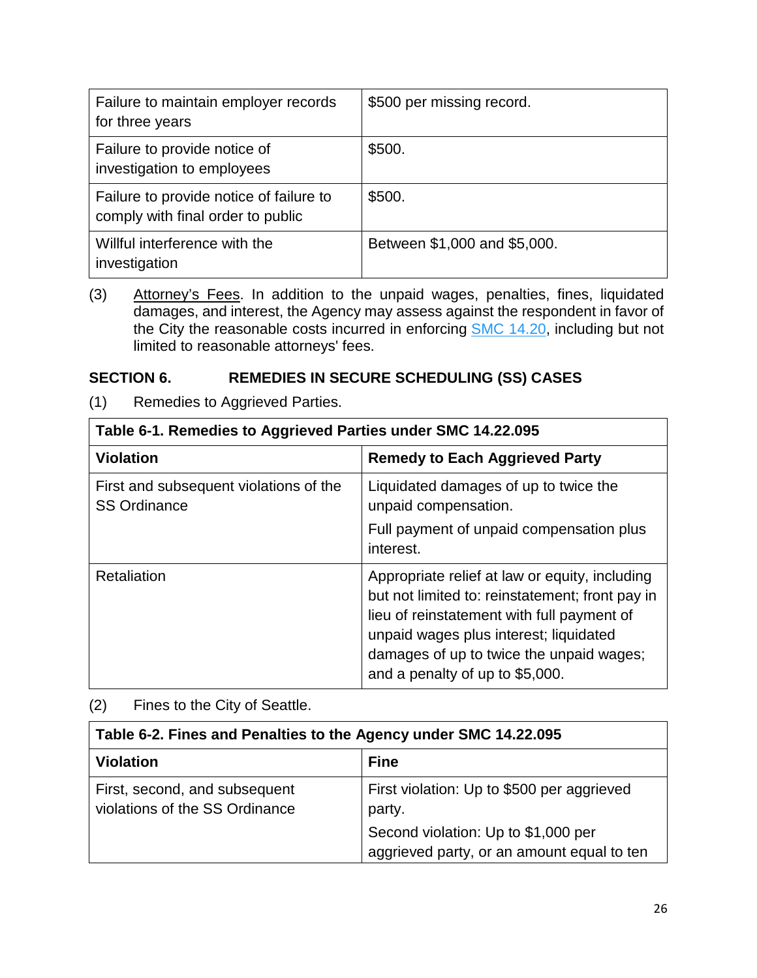| Failure to maintain employer records<br>for three years                      | \$500 per missing record.    |
|------------------------------------------------------------------------------|------------------------------|
| Failure to provide notice of<br>investigation to employees                   | \$500.                       |
| Failure to provide notice of failure to<br>comply with final order to public | \$500.                       |
| Willful interference with the<br>investigation                               | Between \$1,000 and \$5,000. |

(3) Attorney's Fees. In addition to the unpaid wages, penalties, fines, liquidated damages, and interest, the Agency may assess against the respondent in favor of the City the reasonable costs incurred in enforcing **SMC 14.20**, including but not limited to reasonable attorneys' fees.

## <span id="page-25-0"></span>**SECTION 6. REMEDIES IN SECURE SCHEDULING (SS) CASES**

(1) Remedies to Aggrieved Parties.

 $\blacksquare$ 

| Table 6-1. Remedies to Aggrieved Parties under SMC 14.22.095  |                                                                                                                                                                                                                                                                          |  |
|---------------------------------------------------------------|--------------------------------------------------------------------------------------------------------------------------------------------------------------------------------------------------------------------------------------------------------------------------|--|
| <b>Violation</b>                                              | <b>Remedy to Each Aggrieved Party</b>                                                                                                                                                                                                                                    |  |
| First and subsequent violations of the<br><b>SS Ordinance</b> | Liquidated damages of up to twice the<br>unpaid compensation.                                                                                                                                                                                                            |  |
|                                                               | Full payment of unpaid compensation plus<br>interest.                                                                                                                                                                                                                    |  |
| Retaliation                                                   | Appropriate relief at law or equity, including<br>but not limited to: reinstatement; front pay in<br>lieu of reinstatement with full payment of<br>unpaid wages plus interest; liquidated<br>damages of up to twice the unpaid wages;<br>and a penalty of up to \$5,000. |  |

(2) Fines to the City of Seattle.

| Table 6-2. Fines and Penalties to the Agency under SMC 14.22.095 |                                                                                   |  |
|------------------------------------------------------------------|-----------------------------------------------------------------------------------|--|
| <b>Violation</b>                                                 | <b>Fine</b>                                                                       |  |
| First, second, and subsequent<br>violations of the SS Ordinance  | First violation: Up to \$500 per aggrieved<br>party.                              |  |
|                                                                  | Second violation: Up to \$1,000 per<br>aggrieved party, or an amount equal to ten |  |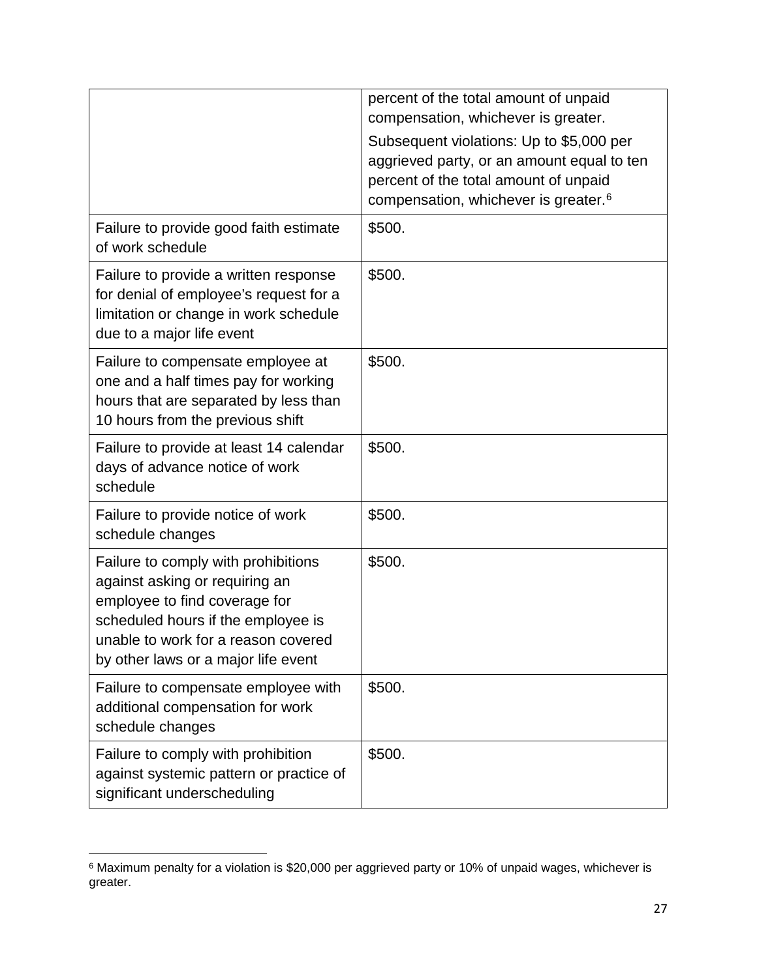|                                                                                                                                                                                                                            | percent of the total amount of unpaid<br>compensation, whichever is greater.<br>Subsequent violations: Up to \$5,000 per<br>aggrieved party, or an amount equal to ten<br>percent of the total amount of unpaid<br>compensation, whichever is greater. <sup>6</sup> |
|----------------------------------------------------------------------------------------------------------------------------------------------------------------------------------------------------------------------------|---------------------------------------------------------------------------------------------------------------------------------------------------------------------------------------------------------------------------------------------------------------------|
| Failure to provide good faith estimate<br>of work schedule                                                                                                                                                                 | \$500.                                                                                                                                                                                                                                                              |
| Failure to provide a written response<br>for denial of employee's request for a<br>limitation or change in work schedule<br>due to a major life event                                                                      | \$500.                                                                                                                                                                                                                                                              |
| Failure to compensate employee at<br>one and a half times pay for working<br>hours that are separated by less than<br>10 hours from the previous shift                                                                     | \$500.                                                                                                                                                                                                                                                              |
| Failure to provide at least 14 calendar<br>days of advance notice of work<br>schedule                                                                                                                                      | \$500.                                                                                                                                                                                                                                                              |
| Failure to provide notice of work<br>schedule changes                                                                                                                                                                      | \$500.                                                                                                                                                                                                                                                              |
| Failure to comply with prohibitions<br>against asking or requiring an<br>employee to find coverage for<br>scheduled hours if the employee is<br>unable to work for a reason covered<br>by other laws or a major life event | \$500.                                                                                                                                                                                                                                                              |
| Failure to compensate employee with<br>additional compensation for work<br>schedule changes                                                                                                                                | \$500.                                                                                                                                                                                                                                                              |
| Failure to comply with prohibition<br>against systemic pattern or practice of<br>significant underscheduling                                                                                                               | \$500.                                                                                                                                                                                                                                                              |

<span id="page-26-0"></span> $\overline{\phantom{a}}$  $^6$  Maximum penalty for a violation is \$20,000 per aggrieved party or 10% of unpaid wages, whichever is greater.